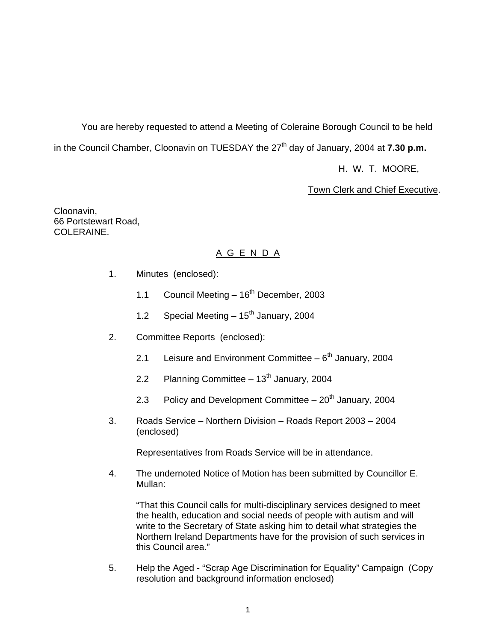You are hereby requested to attend a Meeting of Coleraine Borough Council to be held in the Council Chamber, Cloonavin on TUESDAY the 27<sup>th</sup> day of January, 2004 at **7.30 p.m.** 

H. W. T. MOORE,

Town Clerk and Chief Executive.

Cloonavin, 66 Portstewart Road, COLERAINE.

# A G E N D A

- 1. Minutes (enclosed):
	- 1.1 Council Meeting  $-16^{th}$  December, 2003
	- 1.2 Special Meeting  $-15^{th}$  January, 2004
- 2. Committee Reports (enclosed):
	- 2.1 Leisure and Environment Committee  $-6<sup>th</sup>$  January, 2004
	- 2.2 Planning Committee  $13<sup>th</sup>$  January, 2004
	- 2.3 Policy and Development Committee  $-20<sup>th</sup>$  January, 2004
- 3. Roads Service Northern Division Roads Report 2003 2004 (enclosed)

Representatives from Roads Service will be in attendance.

 4. The undernoted Notice of Motion has been submitted by Councillor E. Mullan:

 "That this Council calls for multi-disciplinary services designed to meet the health, education and social needs of people with autism and will write to the Secretary of State asking him to detail what strategies the Northern Ireland Departments have for the provision of such services in this Council area."

 5. Help the Aged - "Scrap Age Discrimination for Equality" Campaign (Copy resolution and background information enclosed)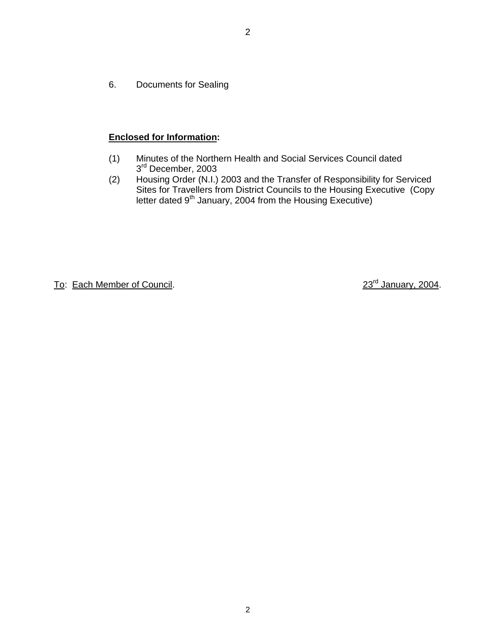6. Documents for Sealing

# **Enclosed for Information:**

- (1) Minutes of the Northern Health and Social Services Council dated 3<sup>rd</sup> December, 2003
- (2) Housing Order (N.I.) 2003 and the Transfer of Responsibility for Serviced Sites for Travellers from District Councils to the Housing Executive (Copy letter dated  $9<sup>th</sup>$  January, 2004 from the Housing Executive)

To: Each Member of Council. 23<sup>rd</sup> January, 2004.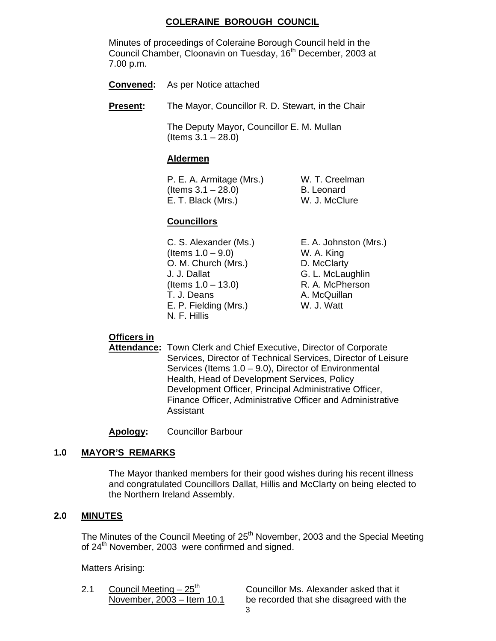# **COLERAINE BOROUGH COUNCIL**

 Minutes of proceedings of Coleraine Borough Council held in the Council Chamber, Cloonavin on Tuesday, 16<sup>th</sup> December, 2003 at 7.00 p.m.

- **Convened:** As per Notice attached
- **Present:** The Mayor, Councillor R. D. Stewart, in the Chair

 The Deputy Mayor, Councillor E. M. Mullan (Items 3.1 – 28.0)

#### **Aldermen**

P. E. A. Armitage (Mrs.) W. T. Creelman  $($ ltems  $3.1 - 28.0$  $)$  B. Leonard E. T. Black (Mrs.) W. J. McClure

# **Councillors**

 C. S. Alexander (Ms.) E. A. Johnston (Mrs.)  $($  Items  $1.0 - 9.0$  W. A. King O. M. Church (Mrs.) D. McClarty J. J. Dallat G. L. McLaughlin  $($ ltems  $1.0 - 13.0)$  R. A. McPherson T. J. Deans **A. McQuillan** E. P. Fielding (Mrs.) W. J. Watt N. F. Hillis

# **Officers in**

**Attendance:** Town Clerk and Chief Executive, Director of Corporate Services, Director of Technical Services, Director of Leisure Services (Items  $1.0 - 9.0$ ), Director of Environmental Health, Head of Development Services, Policy Development Officer, Principal Administrative Officer, Finance Officer, Administrative Officer and Administrative Assistant

**Apology:** Councillor Barbour

# **1.0 MAYOR'S REMARKS**

The Mayor thanked members for their good wishes during his recent illness and congratulated Councillors Dallat, Hillis and McClarty on being elected to the Northern Ireland Assembly.

# **2.0 MINUTES**

The Minutes of the Council Meeting of 25<sup>th</sup> November, 2003 and the Special Meeting of 24<sup>th</sup> November, 2003 were confirmed and signed.

Matters Arising:

2.1 Council Meeting  $-25<sup>th</sup>$  Councillor Ms. Alexander asked that it November, 2003 – Item 10.1 be recorded that she disagreed with the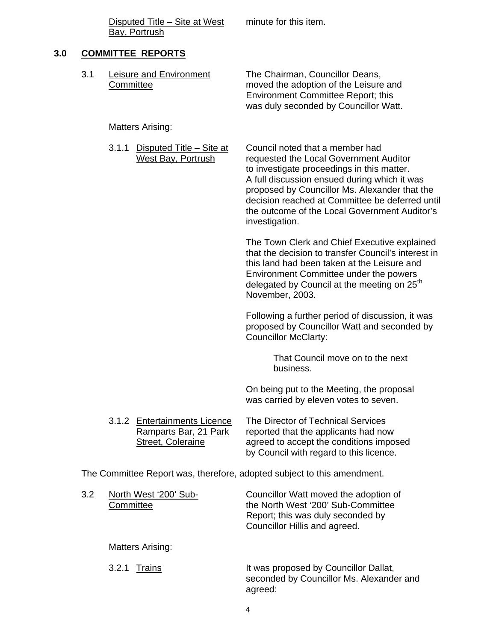Disputed Title – Site at West minute for this item. Bay, Portrush

# **3.0 COMMITTEE REPORTS**

| 3.1 | Committee                                                               | Leisure and Environment                                                    | The Chairman, Councillor Deans,<br>moved the adoption of the Leisure and<br><b>Environment Committee Report; this</b><br>was duly seconded by Councillor Watt.                                                                                                                                                                                 |  |  |  |
|-----|-------------------------------------------------------------------------|----------------------------------------------------------------------------|------------------------------------------------------------------------------------------------------------------------------------------------------------------------------------------------------------------------------------------------------------------------------------------------------------------------------------------------|--|--|--|
|     |                                                                         | <b>Matters Arising:</b>                                                    |                                                                                                                                                                                                                                                                                                                                                |  |  |  |
|     | 3.1.1                                                                   | Disputed Title - Site at<br><b>West Bay, Portrush</b>                      | Council noted that a member had<br>requested the Local Government Auditor<br>to investigate proceedings in this matter.<br>A full discussion ensued during which it was<br>proposed by Councillor Ms. Alexander that the<br>decision reached at Committee be deferred until<br>the outcome of the Local Government Auditor's<br>investigation. |  |  |  |
|     |                                                                         |                                                                            | The Town Clerk and Chief Executive explained<br>that the decision to transfer Council's interest in<br>this land had been taken at the Leisure and<br>Environment Committee under the powers<br>delegated by Council at the meeting on 25 <sup>th</sup><br>November, 2003.                                                                     |  |  |  |
|     |                                                                         |                                                                            | Following a further period of discussion, it was<br>proposed by Councillor Watt and seconded by<br><b>Councillor McClarty:</b>                                                                                                                                                                                                                 |  |  |  |
|     |                                                                         |                                                                            | That Council move on to the next<br>business.                                                                                                                                                                                                                                                                                                  |  |  |  |
|     |                                                                         |                                                                            | On being put to the Meeting, the proposal<br>was carried by eleven votes to seven.                                                                                                                                                                                                                                                             |  |  |  |
|     |                                                                         | 3.1.2 Entertainments Licence<br>Ramparts Bar, 21 Park<br>Street, Coleraine | The Director of Technical Services<br>reported that the applicants had now<br>agreed to accept the conditions imposed<br>by Council with regard to this licence.                                                                                                                                                                               |  |  |  |
|     | The Committee Report was, therefore, adopted subject to this amendment. |                                                                            |                                                                                                                                                                                                                                                                                                                                                |  |  |  |
| 3.2 | Committee                                                               | North West '200' Sub-                                                      | Councillor Watt moved the adoption of<br>the North West '200' Sub-Committee<br>Report; this was duly seconded by<br>Councillor Hillis and agreed.                                                                                                                                                                                              |  |  |  |

Matters Arising:

| 3.2.1 Trains | It was proposed by Councillor Dallat,<br>seconded by Councillor Ms. Alexander and |
|--------------|-----------------------------------------------------------------------------------|
|              | agreed:                                                                           |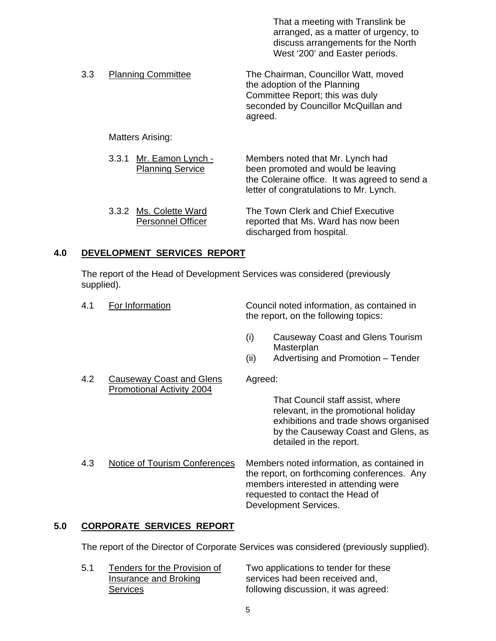|     |                                                       | That a meeting with Translink be<br>arranged, as a matter of urgency, to<br>discuss arrangements for the North<br>West '200' and Easter periods.                   |
|-----|-------------------------------------------------------|--------------------------------------------------------------------------------------------------------------------------------------------------------------------|
| 3.3 | <b>Planning Committee</b>                             | The Chairman, Councillor Watt, moved<br>the adoption of the Planning<br>Committee Report; this was duly<br>seconded by Councillor McQuillan and<br>agreed.         |
|     | Matters Arising:                                      |                                                                                                                                                                    |
|     | Mr. Eamon Lynch -<br>3.3.1<br><b>Planning Service</b> | Members noted that Mr. Lynch had<br>been promoted and would be leaving<br>the Coleraine office. It was agreed to send a<br>letter of congratulations to Mr. Lynch. |
|     | 3.3.2 Ms. Colette Ward<br>Personnel Officer           | The Town Clerk and Chief Executive<br>reported that Ms. Ward has now been                                                                                          |

discharged from hospital.

# **4.0 DEVELOPMENT SERVICES REPORT**

 The report of the Head of Development Services was considered (previously supplied).

| 4.1 | For Information                                       |         | Council noted information, as contained in<br>the report, on the following topics:                                                                                                             |
|-----|-------------------------------------------------------|---------|------------------------------------------------------------------------------------------------------------------------------------------------------------------------------------------------|
|     |                                                       | (i)     | Causeway Coast and Glens Tourism<br>Masterplan                                                                                                                                                 |
|     |                                                       | (ii)    | Advertising and Promotion – Tender                                                                                                                                                             |
| 4.2 | Causeway Coast and Glens<br>Promotional Activity 2004 | Agreed: |                                                                                                                                                                                                |
|     |                                                       |         | That Council staff assist, where<br>relevant, in the promotional holiday<br>exhibitions and trade shows organised<br>by the Causeway Coast and Glens, as<br>detailed in the report.            |
| 4.3 | Notice of Tourism Conferences                         |         | Members noted information, as contained in<br>the report, on forthcoming conferences. Any<br>members interested in attending were<br>requested to contact the Head of<br>Development Services. |

# **5.0 CORPORATE SERVICES REPORT**

The report of the Director of Corporate Services was considered (previously supplied).

| 5.1 | Tenders for the Provision of | Two applications to tender for these |
|-----|------------------------------|--------------------------------------|
|     | Insurance and Broking        | services had been received and,      |
|     | Services                     | following discussion, it was agreed: |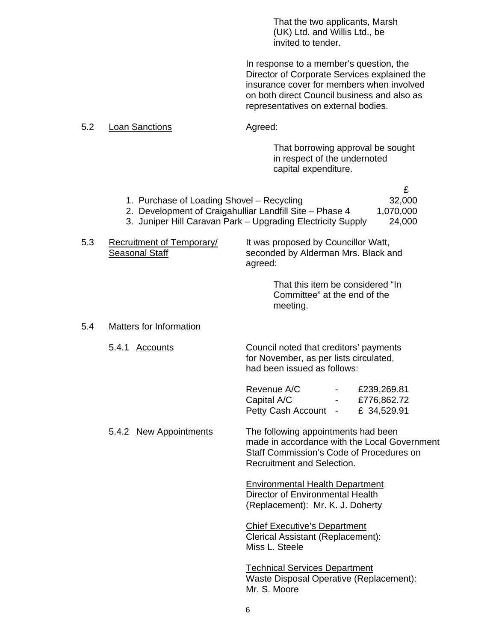That the two applicants, Marsh (UK) Ltd. and Willis Ltd., be invited to tender.

In response to a member's question, the Director of Corporate Services explained the insurance cover for members when involved on both direct Council business and also as representatives on external bodies.

#### 5.2 Loan Sanctions **Agreed:**

 That borrowing approval be sought in respect of the undernoted capital expenditure.

£

- 1. Purchase of Loading Shovel Recycling 32,000
- 2. Development of Craigahulliar Landfill Site Phase 4 1,070,000
- 3. Juniper Hill Caravan Park Upgrading Electricity Supply 24,000
- 5.3 Recruitment of Temporary/ It was proposed by Councillor Watt, Seasonal Staff seconded by Alderman Mrs. Black and agreed:

 That this item be considered "In Committee" at the end of the meeting.

#### 5.4 Matters for Information

5.4.1 Accounts **Council noted that creditors' payments**  for November, as per lists circulated, had been issued as follows:

| Revenue A/C          | <b>Contract Contract Contract</b> | £239,269.81     |
|----------------------|-----------------------------------|-----------------|
| Capital A/C          |                                   | $-$ £776,862.72 |
| Petty Cash Account - |                                   | £ 34,529.91     |

 5.4.2 New Appointments The following appointments had been made in accordance with the Local Government Staff Commission's Code of Procedures on Recruitment and Selection.

> Environmental Health Department Director of Environmental Health (Replacement): Mr. K. J. Doherty

Chief Executive's Department Clerical Assistant (Replacement): Miss L. Steele

Technical Services Department Waste Disposal Operative (Replacement): Mr. S. Moore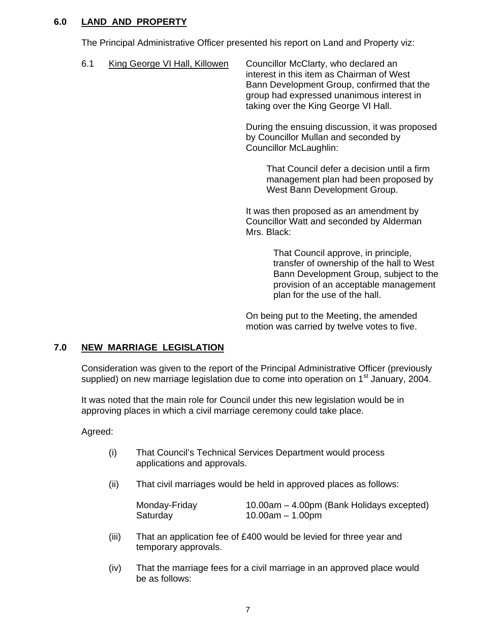# **6.0 LAND AND PROPERTY**

The Principal Administrative Officer presented his report on Land and Property viz:

6.1 King George VI Hall, Killowen Councillor McClarty, who declared an interest in this item as Chairman of West Bann Development Group, confirmed that the group had expressed unanimous interest in taking over the King George VI Hall.

> During the ensuing discussion, it was proposed by Councillor Mullan and seconded by Councillor McLaughlin:

> > That Council defer a decision until a firm management plan had been proposed by West Bann Development Group.

It was then proposed as an amendment by Councillor Watt and seconded by Alderman Mrs. Black:

> That Council approve, in principle, transfer of ownership of the hall to West Bann Development Group, subject to the provision of an acceptable management plan for the use of the hall.

On being put to the Meeting, the amended motion was carried by twelve votes to five.

# **7.0 NEW MARRIAGE LEGISLATION**

Consideration was given to the report of the Principal Administrative Officer (previously supplied) on new marriage legislation due to come into operation on 1<sup>st</sup> January, 2004.

 It was noted that the main role for Council under this new legislation would be in approving places in which a civil marriage ceremony could take place.

# Agreed:

- (i) That Council's Technical Services Department would process applications and approvals.
- (ii) That civil marriages would be held in approved places as follows:

| Monday-Friday | 10.00am – 4.00pm (Bank Holidays excepted) |
|---------------|-------------------------------------------|
| Saturday      | 10.00am – 1.00pm                          |

- (iii) That an application fee of £400 would be levied for three year and temporary approvals.
- (iv) That the marriage fees for a civil marriage in an approved place would be as follows: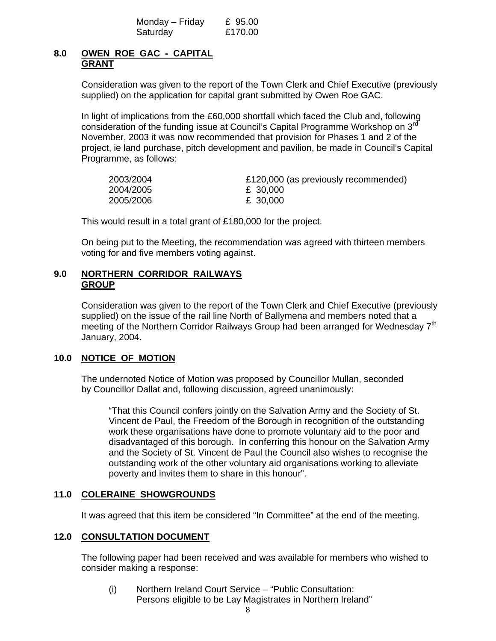| Monday – Friday | £ 95.00 |
|-----------------|---------|
| Saturday        | £170.00 |

# **8.0 OWEN ROE GAC - CAPITAL GRANT**

Consideration was given to the report of the Town Clerk and Chief Executive (previously supplied) on the application for capital grant submitted by Owen Roe GAC.

In light of implications from the £60,000 shortfall which faced the Club and, following consideration of the funding issue at Council's Capital Programme Workshop on 3rd November, 2003 it was now recommended that provision for Phases 1 and 2 of the project, ie land purchase, pitch development and pavilion, be made in Council's Capital Programme, as follows:

| 2003/2004 | £120,000 (as previously recommended) |
|-----------|--------------------------------------|
| 2004/2005 | £ 30,000                             |
| 2005/2006 | £ 30,000                             |

This would result in a total grant of £180,000 for the project.

On being put to the Meeting, the recommendation was agreed with thirteen members voting for and five members voting against.

# **9.0 NORTHERN CORRIDOR RAILWAYS GROUP**

Consideration was given to the report of the Town Clerk and Chief Executive (previously supplied) on the issue of the rail line North of Ballymena and members noted that a meeting of the Northern Corridor Railways Group had been arranged for Wednesday 7<sup>th</sup> January, 2004.

# **10.0 NOTICE OF MOTION**

 The undernoted Notice of Motion was proposed by Councillor Mullan, seconded by Councillor Dallat and, following discussion, agreed unanimously:

"That this Council confers jointly on the Salvation Army and the Society of St. Vincent de Paul, the Freedom of the Borough in recognition of the outstanding work these organisations have done to promote voluntary aid to the poor and disadvantaged of this borough. In conferring this honour on the Salvation Army and the Society of St. Vincent de Paul the Council also wishes to recognise the outstanding work of the other voluntary aid organisations working to alleviate poverty and invites them to share in this honour".

# **11.0 COLERAINE SHOWGROUNDS**

It was agreed that this item be considered "In Committee" at the end of the meeting.

# **12.0 CONSULTATION DOCUMENT**

The following paper had been received and was available for members who wished to consider making a response:

(i) Northern Ireland Court Service – "Public Consultation: Persons eligible to be Lay Magistrates in Northern Ireland"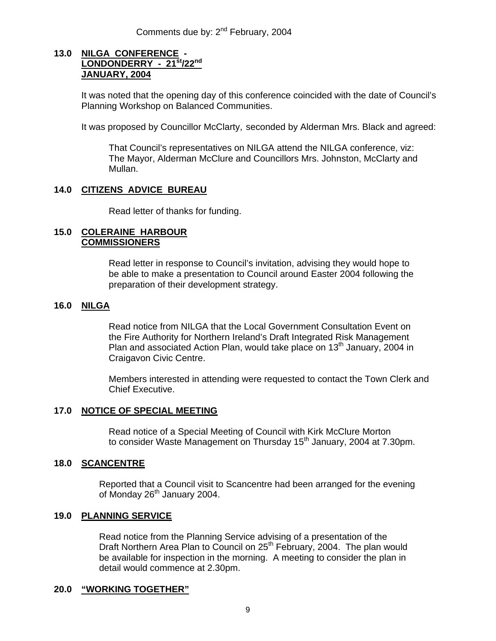# **13.0 NILGA CONFERENCE - LONDONDERRY - 21st/22nd JANUARY, 2004**

It was noted that the opening day of this conference coincided with the date of Council's Planning Workshop on Balanced Communities.

It was proposed by Councillor McClarty, seconded by Alderman Mrs. Black and agreed:

 That Council's representatives on NILGA attend the NILGA conference, viz: The Mayor, Alderman McClure and Councillors Mrs. Johnston, McClarty and Mullan.

# **14.0 CITIZENS ADVICE BUREAU**

Read letter of thanks for funding.

#### **15.0 COLERAINE HARBOUR COMMISSIONERS**

Read letter in response to Council's invitation, advising they would hope to be able to make a presentation to Council around Easter 2004 following the preparation of their development strategy.

# **16.0 NILGA**

Read notice from NILGA that the Local Government Consultation Event on the Fire Authority for Northern Ireland's Draft Integrated Risk Management Plan and associated Action Plan, would take place on  $13<sup>th</sup>$  January, 2004 in Craigavon Civic Centre.

Members interested in attending were requested to contact the Town Clerk and Chief Executive.

# **17.0 NOTICE OF SPECIAL MEETING**

Read notice of a Special Meeting of Council with Kirk McClure Morton to consider Waste Management on Thursday 15<sup>th</sup> January, 2004 at 7.30pm.

# **18.0 SCANCENTRE**

Reported that a Council visit to Scancentre had been arranged for the evening of Monday 26<sup>th</sup> January 2004.

# **19.0 PLANNING SERVICE**

Read notice from the Planning Service advising of a presentation of the Draft Northern Area Plan to Council on 25<sup>th</sup> February, 2004. The plan would be available for inspection in the morning. A meeting to consider the plan in detail would commence at 2.30pm.

# **20.0 "WORKING TOGETHER"**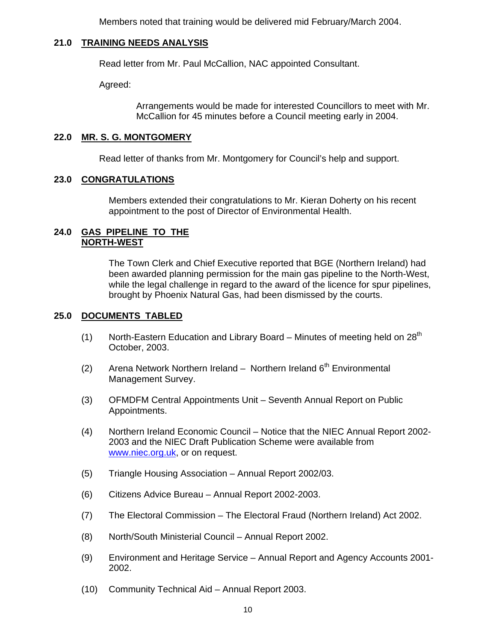Members noted that training would be delivered mid February/March 2004.

# **21.0 TRAINING NEEDS ANALYSIS**

Read letter from Mr. Paul McCallion, NAC appointed Consultant.

Agreed:

Arrangements would be made for interested Councillors to meet with Mr. McCallion for 45 minutes before a Council meeting early in 2004.

# **22.0 MR. S. G. MONTGOMERY**

Read letter of thanks from Mr. Montgomery for Council's help and support.

# **23.0 CONGRATULATIONS**

Members extended their congratulations to Mr. Kieran Doherty on his recent appointment to the post of Director of Environmental Health.

# **24.0 GAS PIPELINE TO THE NORTH-WEST**

The Town Clerk and Chief Executive reported that BGE (Northern Ireland) had been awarded planning permission for the main gas pipeline to the North-West, while the legal challenge in regard to the award of the licence for spur pipelines, brought by Phoenix Natural Gas, had been dismissed by the courts.

# **25.0 DOCUMENTS TABLED**

- (1) North-Eastern Education and Library Board Minutes of meeting held on  $28<sup>th</sup>$ October, 2003.
- (2) Arena Network Northern Ireland Northern Ireland  $6<sup>th</sup>$  Environmental Management Survey.
- (3) OFMDFM Central Appointments Unit Seventh Annual Report on Public Appointments.
- (4) Northern Ireland Economic Council Notice that the NIEC Annual Report 2002- 2003 and the NIEC Draft Publication Scheme were available from www.niec.org.uk, or on request.
- (5) Triangle Housing Association Annual Report 2002/03.
- (6) Citizens Advice Bureau Annual Report 2002-2003.
- (7) The Electoral Commission The Electoral Fraud (Northern Ireland) Act 2002.
- (8) North/South Ministerial Council Annual Report 2002.
- (9) Environment and Heritage Service Annual Report and Agency Accounts 2001- 2002.
- (10) Community Technical Aid Annual Report 2003.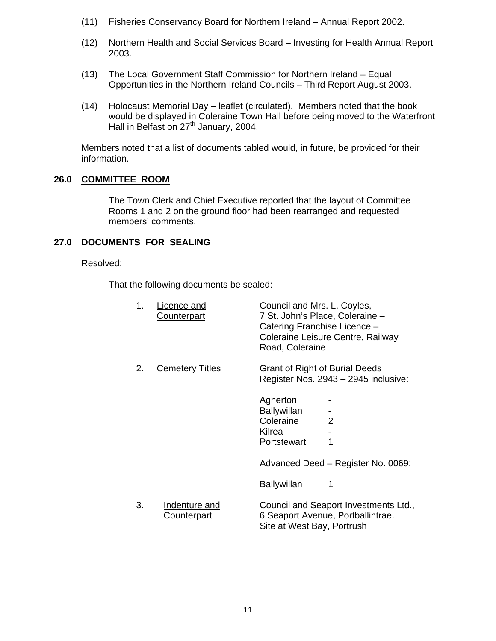- (11) Fisheries Conservancy Board for Northern Ireland Annual Report 2002.
- (12) Northern Health and Social Services Board Investing for Health Annual Report 2003.
- (13) The Local Government Staff Commission for Northern Ireland Equal Opportunities in the Northern Ireland Councils – Third Report August 2003.
- (14) Holocaust Memorial Day leaflet (circulated). Members noted that the book would be displayed in Coleraine Town Hall before being moved to the Waterfront Hall in Belfast on 27<sup>th</sup> January, 2004.

Members noted that a list of documents tabled would, in future, be provided for their information.

# **26.0 COMMITTEE ROOM**

The Town Clerk and Chief Executive reported that the layout of Committee Rooms 1 and 2 on the ground floor had been rearranged and requested members' comments.

# **27.0 DOCUMENTS FOR SEALING**

# Resolved:

That the following documents be sealed:

| 1. | Licence and<br><b>Counterpart</b> | Council and Mrs. L. Coyles,<br>7 St. John's Place, Coleraine -<br>Catering Franchise Licence -<br>Road, Coleraine | Coleraine Leisure Centre, Railway                                          |
|----|-----------------------------------|-------------------------------------------------------------------------------------------------------------------|----------------------------------------------------------------------------|
| 2. | <b>Cemetery Titles</b>            | <b>Grant of Right of Burial Deeds</b>                                                                             | Register Nos. 2943 - 2945 inclusive:                                       |
|    |                                   | Agherton<br><b>Ballywillan</b><br>Coleraine<br>Kilrea<br>Portstewart                                              | $\overline{2}$                                                             |
|    |                                   |                                                                                                                   | Advanced Deed - Register No. 0069:                                         |
|    |                                   | <b>Ballywillan</b>                                                                                                |                                                                            |
| 3. | Indenture and<br>Counterpart      | Site at West Bay, Portrush                                                                                        | Council and Seaport Investments Ltd.,<br>6 Seaport Avenue, Portballintrae. |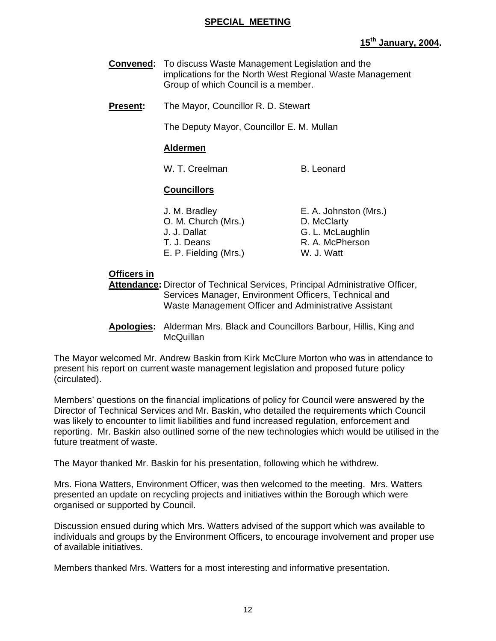# **SPECIAL MEETING**

# **15th January, 2004.**

- **Convened:** To discuss Waste Management Legislation and the implications for the North West Regional Waste Management Group of which Council is a member.
- **Present:** The Mayor, Councillor R. D. Stewart

The Deputy Mayor, Councillor E. M. Mullan

# **Aldermen**

W. T. Creelman B. Leonard

# **Councillors**

| J. M. Bradley         | E. A. Johnston (Mrs.) |
|-----------------------|-----------------------|
| O. M. Church (Mrs.)   | D. McClarty           |
| J. J. Dallat          | G. L. McLaughlin      |
| T. J. Deans           | R. A. McPherson       |
| E. P. Fielding (Mrs.) | W. J. Watt            |

# **Officers in**

 **Attendance:** Director of Technical Services, Principal Administrative Officer, Services Manager, Environment Officers, Technical and Waste Management Officer and Administrative Assistant

 **Apologies:** Alderman Mrs. Black and Councillors Barbour, Hillis, King and **McQuillan** 

The Mayor welcomed Mr. Andrew Baskin from Kirk McClure Morton who was in attendance to present his report on current waste management legislation and proposed future policy (circulated).

Members' questions on the financial implications of policy for Council were answered by the Director of Technical Services and Mr. Baskin, who detailed the requirements which Council was likely to encounter to limit liabilities and fund increased regulation, enforcement and reporting. Mr. Baskin also outlined some of the new technologies which would be utilised in the future treatment of waste.

The Mayor thanked Mr. Baskin for his presentation, following which he withdrew.

Mrs. Fiona Watters, Environment Officer, was then welcomed to the meeting. Mrs. Watters presented an update on recycling projects and initiatives within the Borough which were organised or supported by Council.

Discussion ensued during which Mrs. Watters advised of the support which was available to individuals and groups by the Environment Officers, to encourage involvement and proper use of available initiatives.

Members thanked Mrs. Watters for a most interesting and informative presentation.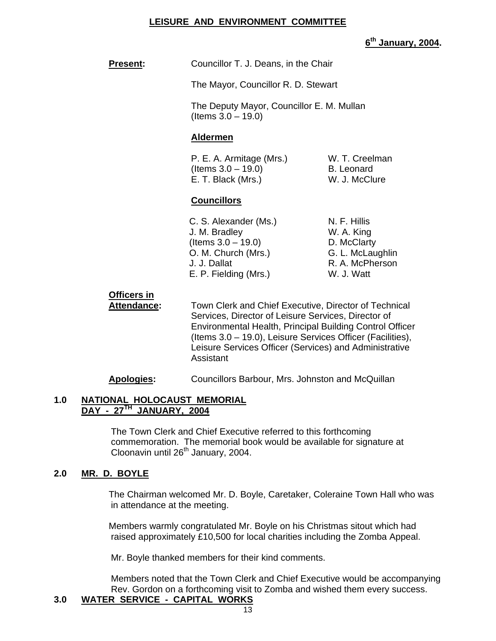# **LEISURE AND ENVIRONMENT COMMITTEE**

**6th January, 2004.**

| <b>Present:</b> | Councillor T. J. Deans, in the Chair |
|-----------------|--------------------------------------|
|-----------------|--------------------------------------|

The Mayor, Councillor R. D. Stewart

 The Deputy Mayor, Councillor E. M. Mullan (Items 3.0 – 19.0)

# **Aldermen**

 P. E. A. Armitage (Mrs.) W. T. Creelman  $($ ltems  $3.0 - 19.0)$  B. Leonard E. T. Black (Mrs.) W. J. McClure

# **Councillors**

C. S. Alexander (Ms.) N. F. Hillis J. M. Bradley W. A. King  $($ ltems  $3.0 - 19.0)$  D. McClarty O. M. Church (Mrs.) G. L. McLaughlin J. J. Dallat R. A. McPherson<br>E. P. Fielding (Mrs.) W. J. Watt E. P. Fielding (Mrs.)

# **Officers in**

 **Attendance:** Town Clerk and Chief Executive, Director of Technical Services, Director of Leisure Services, Director of Environmental Health, Principal Building Control Officer (Items 3.0 – 19.0), Leisure Services Officer (Facilities), Leisure Services Officer (Services) and Administrative Assistant

**Apologies:** Councillors Barbour, Mrs. Johnston and McQuillan

# **1.0 NATIONAL HOLOCAUST MEMORIAL DAY - 27TH JANUARY, 2004**

The Town Clerk and Chief Executive referred to this forthcoming commemoration. The memorial book would be available for signature at Cloonavin until 26<sup>th</sup> January, 2004.

# **2.0 MR. D. BOYLE**

The Chairman welcomed Mr. D. Boyle, Caretaker, Coleraine Town Hall who was in attendance at the meeting.

Members warmly congratulated Mr. Boyle on his Christmas sitout which had raised approximately £10,500 for local charities including the Zomba Appeal.

Mr. Boyle thanked members for their kind comments.

Members noted that the Town Clerk and Chief Executive would be accompanying Rev. Gordon on a forthcoming visit to Zomba and wished them every success.

# **3.0 WATER SERVICE - CAPITAL WORKS**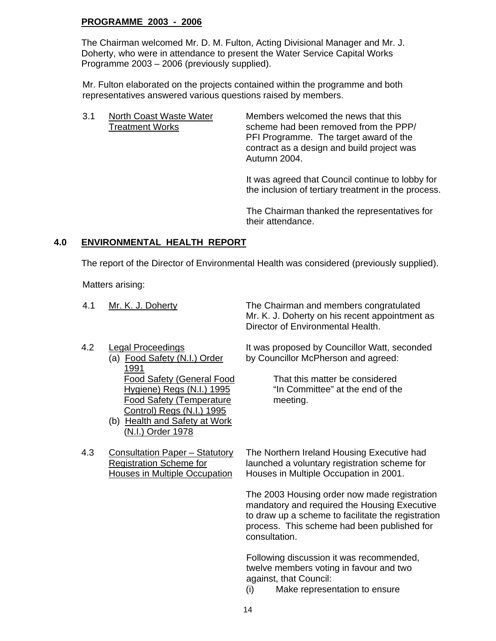# **PROGRAMME 2003 - 2006**

The Chairman welcomed Mr. D. M. Fulton, Acting Divisional Manager and Mr. J. Doherty, who were in attendance to present the Water Service Capital Works Programme 2003 – 2006 (previously supplied).

Mr. Fulton elaborated on the projects contained within the programme and both representatives answered various questions raised by members.

3.1 North Coast Waste Water Members welcomed the news that this Treatment Works scheme had been removed from the PPP/ PFI Programme. The target award of the contract as a design and build project was Autumn 2004.

> It was agreed that Council continue to lobby for the inclusion of tertiary treatment in the process.

The Chairman thanked the representatives for their attendance.

# **4.0 ENVIRONMENTAL HEALTH REPORT**

The report of the Director of Environmental Health was considered (previously supplied).

Matters arising:

| 4.1 | Mr. K. J. Doherty                                                | The Chairman and members congratulated<br>Mr. K. J. Doherty on his recent appointment as<br>Director of Environmental Health. |
|-----|------------------------------------------------------------------|-------------------------------------------------------------------------------------------------------------------------------|
| 4.2 | <b>Legal Proceedings</b><br>(a) Food Safety (N.I.) Order<br>1991 | It was proposed by Councillor Watt, seconded<br>by Councillor McPherson and agreed:                                           |
|     | <b>Food Safety (General Food</b>                                 | That this matter be considered                                                                                                |
|     | Hygiene) Regs (N.I.) 1995                                        | "In Committee" at the end of the                                                                                              |
|     | <b>Food Safety (Temperature</b>                                  | meeting.                                                                                                                      |

(b) Health and Safety at Work (N.I.) Order 1978

Control) Regs (N.I.) 1995

4.3 Consultation Paper - Statutory The Northern Ireland Housing Executive had Registration Scheme for launched a voluntary registration scheme for Houses in Multiple Occupation Houses in Multiple Occupation in 2001.

> The 2003 Housing order now made registration mandatory and required the Housing Executive to draw up a scheme to facilitate the registration process. This scheme had been published for consultation.

Following discussion it was recommended, twelve members voting in favour and two against, that Council:

(i) Make representation to ensure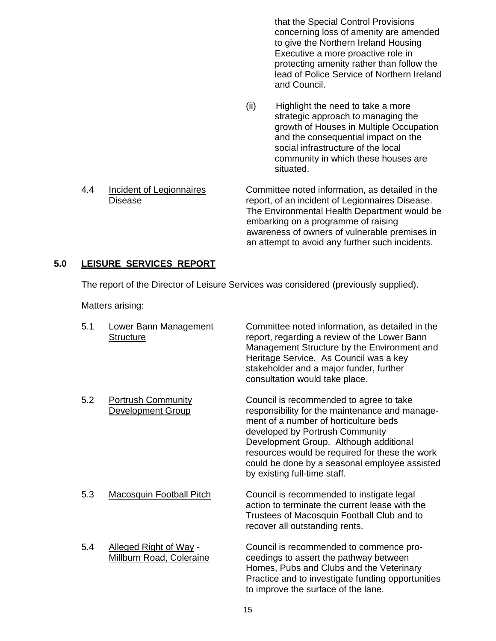that the Special Control Provisions concerning loss of amenity are amended to give the Northern Ireland Housing Executive a more proactive role in protecting amenity rather than follow the lead of Police Service of Northern Ireland and Council.

- (ii) Highlight the need to take a more strategic approach to managing the growth of Houses in Multiple Occupation and the consequential impact on the social infrastructure of the local community in which these houses are situated.
- 4.4 Incident of Legionnaires Committee noted information, as detailed in the Disease report, of an incident of Legionnaires Disease. The Environmental Health Department would be embarking on a programme of raising awareness of owners of vulnerable premises in an attempt to avoid any further such incidents.

# **5.0 LEISURE SERVICES REPORT**

The report of the Director of Leisure Services was considered (previously supplied).

Matters arising:

| 5.1 | <b>Lower Bann Management</b><br><b>Structure</b>          | Committee noted information, as detailed in the<br>report, regarding a review of the Lower Bann<br>Management Structure by the Environment and<br>Heritage Service. As Council was a key<br>stakeholder and a major funder, further<br>consultation would take place.                                                                              |
|-----|-----------------------------------------------------------|----------------------------------------------------------------------------------------------------------------------------------------------------------------------------------------------------------------------------------------------------------------------------------------------------------------------------------------------------|
| 5.2 | <b>Portrush Community</b><br><b>Development Group</b>     | Council is recommended to agree to take<br>responsibility for the maintenance and manage-<br>ment of a number of horticulture beds<br>developed by Portrush Community<br>Development Group. Although additional<br>resources would be required for these the work<br>could be done by a seasonal employee assisted<br>by existing full-time staff. |
| 5.3 | <b>Macosquin Football Pitch</b>                           | Council is recommended to instigate legal<br>action to terminate the current lease with the<br>Trustees of Macosquin Football Club and to<br>recover all outstanding rents.                                                                                                                                                                        |
| 5.4 | Alleged Right of Way -<br><b>Millburn Road, Coleraine</b> | Council is recommended to commence pro-<br>ceedings to assert the pathway between<br>Homes, Pubs and Clubs and the Veterinary<br>Practice and to investigate funding opportunities<br>to improve the surface of the lane.                                                                                                                          |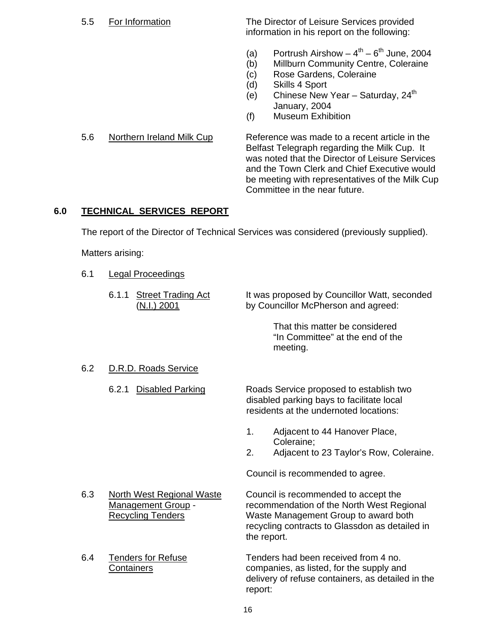5.5 For Information The Director of Leisure Services provided information in his report on the following:

- (a) Portrush Airshow  $-4^{th} 6^{th}$  June, 2004
- (b) Millburn Community Centre, Coleraine
- (c) Rose Gardens, Coleraine
- (d) Skills 4 Sport
- (e) Chinese New Year Saturday,  $24<sup>th</sup>$ January, 2004
- (f) Museum Exhibition

5.6 Northern Ireland Milk Cup Reference was made to a recent article in the Belfast Telegraph regarding the Milk Cup. It was noted that the Director of Leisure Services and the Town Clerk and Chief Executive would be meeting with representatives of the Milk Cup Committee in the near future.

# **6.0 TECHNICAL SERVICES REPORT**

The report of the Director of Technical Services was considered (previously supplied).

Matters arising:

6.1 Legal Proceedings

|     | <b>Street Trading Act</b><br>6.1.1<br>(N.I.) 2001                                         | It was proposed by Councillor Watt, seconded<br>by Councillor McPherson and agreed:                                                                                                        |
|-----|-------------------------------------------------------------------------------------------|--------------------------------------------------------------------------------------------------------------------------------------------------------------------------------------------|
|     |                                                                                           | That this matter be considered<br>"In Committee" at the end of the<br>meeting.                                                                                                             |
| 6.2 | D.R.D. Roads Service                                                                      |                                                                                                                                                                                            |
|     | 6.2.1<br><b>Disabled Parking</b>                                                          | Roads Service proposed to establish two<br>disabled parking bays to facilitate local<br>residents at the undernoted locations:                                                             |
|     |                                                                                           | Adjacent to 44 Hanover Place,<br>1.<br>Coleraine;<br>2.<br>Adjacent to 23 Taylor's Row, Coleraine.                                                                                         |
|     |                                                                                           | Council is recommended to agree.                                                                                                                                                           |
| 6.3 | <b>North West Regional Waste</b><br><b>Management Group -</b><br><b>Recycling Tenders</b> | Council is recommended to accept the<br>recommendation of the North West Regional<br>Waste Management Group to award both<br>recycling contracts to Glassdon as detailed in<br>the report. |
| 6.4 | Tenders for Refuse<br><b>Containers</b>                                                   | Tenders had been received from 4 no.<br>companies, as listed, for the supply and<br>delivery of refuse containers, as detailed in the<br>report:                                           |
|     |                                                                                           | $\sim$                                                                                                                                                                                     |

#### 16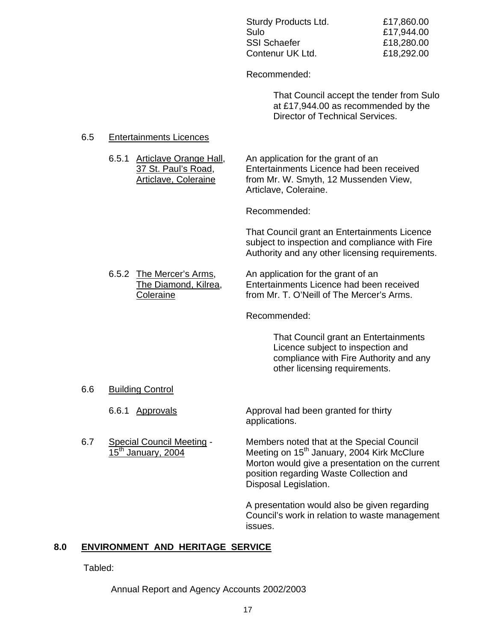| Sturdy Products Ltd. | £17,860.00 |
|----------------------|------------|
| Sulo                 | £17,944.00 |
| SSI Schaefer         | £18,280.00 |
| Contenur UK Ltd.     | £18,292.00 |

Recommended:

 That Council accept the tender from Sulo at £17,944.00 as recommended by the Director of Technical Services.

#### 6.5 Entertainments Licences

 6.5.1 Articlave Orange Hall, An application for the grant of an 37 St. Paul's Road, Entertainments Licence had been received Articlave, Coleraine from Mr. W. Smyth, 12 Mussenden View, Articlave, Coleraine.

Recommended:

That Council grant an Entertainments Licence subject to inspection and compliance with Fire Authority and any other licensing requirements.

6.5.2 The Mercer's Arms, An application for the grant of an The Diamond, Kilrea, Entertainments Licence had been received Coleraine **From Mr. T. O'Neill of The Mercer's Arms.** 

Recommended:

 That Council grant an Entertainments Licence subject to inspection and compliance with Fire Authority and any other licensing requirements.

6.6 Building Control

6.6.1 Approvals **Approval had been granted for thirty** applications.

6.7 Special Council Meeting - Members noted that at the Special Council<br>15<sup>th</sup> January, 2004 Meeting on 15<sup>th</sup> January, 2004 Kirk McClure Meeting on 15<sup>th</sup> January, 2004 Kirk McClure Morton would give a presentation on the current position regarding Waste Collection and Disposal Legislation.

> A presentation would also be given regarding Council's work in relation to waste management issues.

# **8.0 ENVIRONMENT AND HERITAGE SERVICE**

Tabled:

Annual Report and Agency Accounts 2002/2003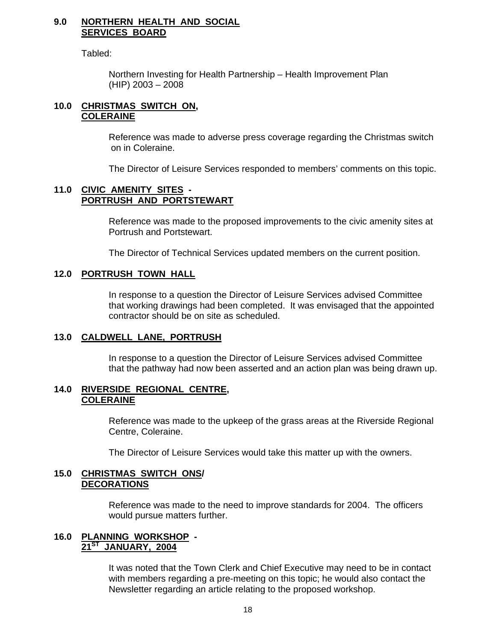#### **9.0 NORTHERN HEALTH AND SOCIAL SERVICES BOARD**

Tabled:

 Northern Investing for Health Partnership – Health Improvement Plan (HIP) 2003 – 2008

#### **10.0 CHRISTMAS SWITCH ON, COLERAINE**

Reference was made to adverse press coverage regarding the Christmas switch on in Coleraine.

The Director of Leisure Services responded to members' comments on this topic.

#### **11.0 CIVIC AMENITY SITES - PORTRUSH AND PORTSTEWART**

 Reference was made to the proposed improvements to the civic amenity sites at Portrush and Portstewart.

The Director of Technical Services updated members on the current position.

# **12.0 PORTRUSH TOWN HALL**

 In response to a question the Director of Leisure Services advised Committee that working drawings had been completed. It was envisaged that the appointed contractor should be on site as scheduled.

# **13.0 CALDWELL LANE, PORTRUSH**

 In response to a question the Director of Leisure Services advised Committee that the pathway had now been asserted and an action plan was being drawn up.

#### **14.0 RIVERSIDE REGIONAL CENTRE, COLERAINE**

 Reference was made to the upkeep of the grass areas at the Riverside Regional Centre, Coleraine.

The Director of Leisure Services would take this matter up with the owners.

#### **15.0 CHRISTMAS SWITCH ONS/ DECORATIONS**

 Reference was made to the need to improve standards for 2004. The officers would pursue matters further.

# **16.0 PLANNING WORKSHOP - 21ST JANUARY, 2004**

 It was noted that the Town Clerk and Chief Executive may need to be in contact with members regarding a pre-meeting on this topic; he would also contact the Newsletter regarding an article relating to the proposed workshop.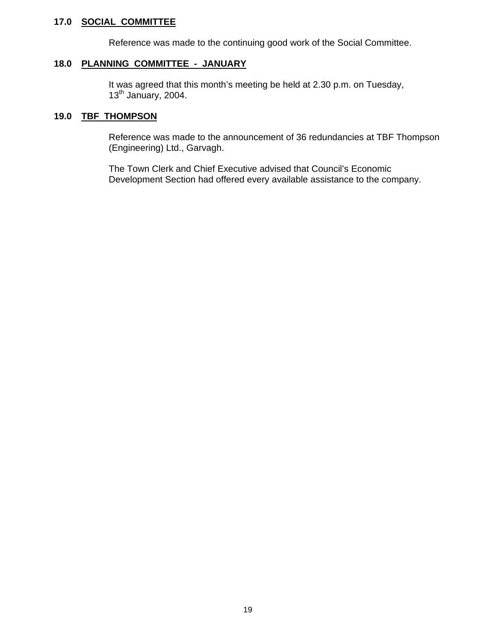#### **17.0 SOCIAL COMMITTEE**

Reference was made to the continuing good work of the Social Committee.

# **18.0 PLANNING COMMITTEE - JANUARY**

 It was agreed that this month's meeting be held at 2.30 p.m. on Tuesday,  $13<sup>th</sup>$  January, 2004.

#### **19.0 TBF THOMPSON**

 Reference was made to the announcement of 36 redundancies at TBF Thompson (Engineering) Ltd., Garvagh.

 The Town Clerk and Chief Executive advised that Council's Economic Development Section had offered every available assistance to the company.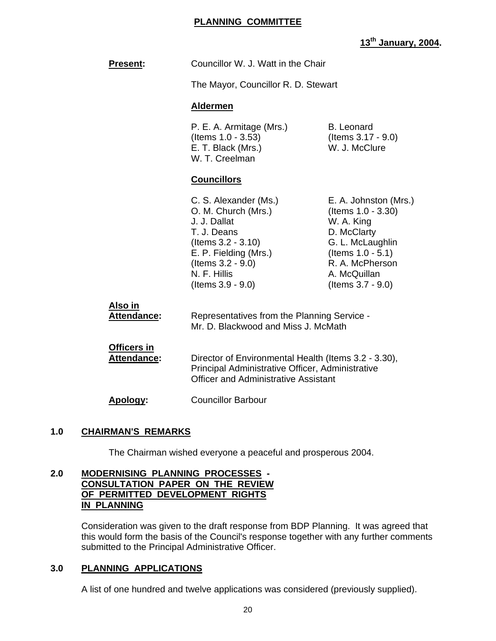# **PLANNING COMMITTEE**

# **13th January, 2004.**

| <b>Present:</b>                          | Councillor W. J. Watt in the Chair                                                                                                                                                        |                                                                                                                                                                                 |  |
|------------------------------------------|-------------------------------------------------------------------------------------------------------------------------------------------------------------------------------------------|---------------------------------------------------------------------------------------------------------------------------------------------------------------------------------|--|
|                                          | The Mayor, Councillor R. D. Stewart                                                                                                                                                       |                                                                                                                                                                                 |  |
|                                          | <b>Aldermen</b>                                                                                                                                                                           |                                                                                                                                                                                 |  |
|                                          | P. E. A. Armitage (Mrs.)<br>(Items 1.0 - 3.53)<br>E. T. Black (Mrs.)<br>W. T. Creelman                                                                                                    | <b>B.</b> Leonard<br>(Items 3.17 - 9.0)<br>W. J. McClure                                                                                                                        |  |
|                                          | <b>Councillors</b>                                                                                                                                                                        |                                                                                                                                                                                 |  |
|                                          | C. S. Alexander (Ms.)<br>O. M. Church (Mrs.)<br>J. J. Dallat<br>T. J. Deans<br>(Items 3.2 - 3.10)<br>E. P. Fielding (Mrs.)<br>(Items 3.2 - 9.0)<br>N. F. Hillis<br>$($ ltems $3.9 - 9.0)$ | E. A. Johnston (Mrs.)<br>(Items 1.0 - 3.30)<br>W. A. King<br>D. McClarty<br>G. L. McLaughlin<br>(Items $1.0 - 5.1$ )<br>R. A. McPherson<br>A. McQuillan<br>(Items $3.7 - 9.0$ ) |  |
| <u>Also in</u><br><b>Attendance:</b>     | Representatives from the Planning Service -<br>Mr. D. Blackwood and Miss J. McMath                                                                                                        |                                                                                                                                                                                 |  |
| <b>Officers in</b><br><b>Attendance:</b> | Director of Environmental Health (Items 3.2 - 3.30),<br>Principal Administrative Officer, Administrative<br><b>Officer and Administrative Assistant</b>                                   |                                                                                                                                                                                 |  |

**Apology:** Councillor Barbour

# **1.0 CHAIRMAN'S REMARKS**

The Chairman wished everyone a peaceful and prosperous 2004.

# **2.0 MODERNISING PLANNING PROCESSES - CONSULTATION PAPER ON THE REVIEW OF PERMITTED DEVELOPMENT RIGHTS IN PLANNING**

 Consideration was given to the draft response from BDP Planning. It was agreed that this would form the basis of the Council's response together with any further comments submitted to the Principal Administrative Officer.

# **3.0 PLANNING APPLICATIONS**

A list of one hundred and twelve applications was considered (previously supplied).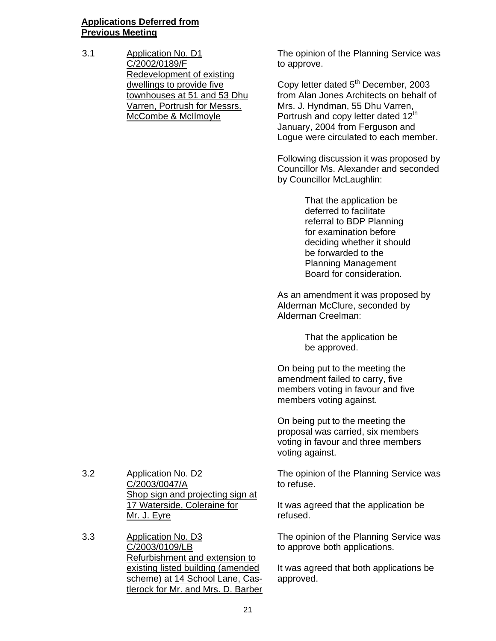# **Applications Deferred from Previous Meeting**

3.1 Application No. D1 C/2002/0189/F Redevelopment of existing dwellings to provide five townhouses at 51 and 53 Dhu Varren, Portrush for Messrs. McCombe & McIlmoyle

The opinion of the Planning Service was to approve.

Copy letter dated 5<sup>th</sup> December, 2003 from Alan Jones Architects on behalf of Mrs. J. Hyndman, 55 Dhu Varren, Portrush and copy letter dated 12<sup>th</sup> January, 2004 from Ferguson and Logue were circulated to each member.

Following discussion it was proposed by Councillor Ms. Alexander and seconded by Councillor McLaughlin:

> That the application be deferred to facilitate referral to BDP Planning for examination before deciding whether it should be forwarded to the Planning Management Board for consideration.

As an amendment it was proposed by Alderman McClure, seconded by Alderman Creelman:

> That the application be be approved.

On being put to the meeting the amendment failed to carry, five members voting in favour and five members voting against.

On being put to the meeting the proposal was carried, six members voting in favour and three members voting against.

The opinion of the Planning Service was to refuse.

It was agreed that the application be refused.

The opinion of the Planning Service was to approve both applications.

It was agreed that both applications be approved.

3.2 Application No. D2 C/2003/0047/A Shop sign and projecting sign at 17 Waterside, Coleraine for Mr. J. Eyre

3.3 Application No. D3 C/2003/0109/LB Refurbishment and extension to existing listed building (amended scheme) at 14 School Lane, Castlerock for Mr. and Mrs. D. Barber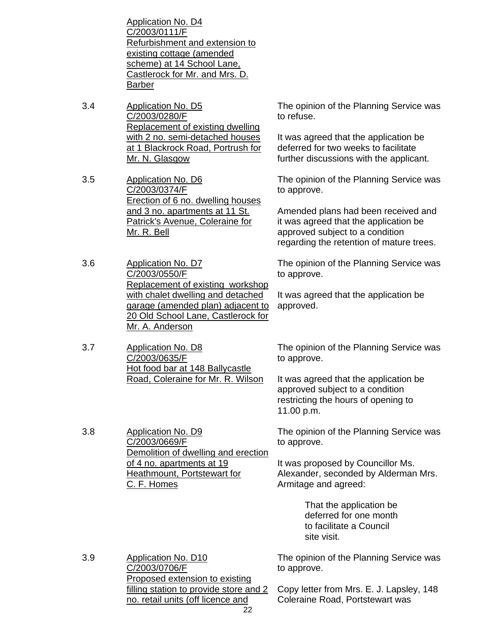Application No. D4 C/2003/0111/F Refurbishment and extension to existing cottage (amended scheme) at 14 School Lane, Castlerock for Mr. and Mrs. D. Barber

- 3.4 Application No. D5 C/2003/0280/F Replacement of existing dwelling with 2 no. semi-detached houses at 1 Blackrock Road, Portrush for Mr. N. Glasgow
- 3.5 Application No. D6 C/2003/0374/F Erection of 6 no. dwelling houses and 3 no. apartments at 11 St. Patrick's Avenue, Coleraine for Mr. R. Bell
- 3.6 Application No. D7 C/2003/0550/F Replacement of existing workshop with chalet dwelling and detached garage (amended plan) adjacent to 20 Old School Lane, Castlerock for Mr. A. Anderson
- 3.7 Application No. D8 C/2003/0635/F Hot food bar at 148 Ballycastle Road, Coleraine for Mr. R. Wilson

3.8 Application No. D9

C/2003/0669/F

C. F. Homes

The opinion of the Planning Service was to refuse.

It was agreed that the application be deferred for two weeks to facilitate further discussions with the applicant.

The opinion of the Planning Service was to approve.

Amended plans had been received and it was agreed that the application be approved subject to a condition regarding the retention of mature trees.

The opinion of the Planning Service was to approve.

It was agreed that the application be approved.

The opinion of the Planning Service was to approve.

It was agreed that the application be approved subject to a condition restricting the hours of opening to 11.00 p.m.

The opinion of the Planning Service was to approve.

It was proposed by Councillor Ms. Alexander, seconded by Alderman Mrs. Armitage and agreed:

> That the application be deferred for one month to facilitate a Council site visit.

3.9 Application No. D10 C/2003/0706/F Proposed extension to existing filling station to provide store and 2 no. retail units (off licence and The opinion of the Planning Service was to approve.

Demolition of dwelling and erection

of 4 no. apartments at 19 Heathmount, Portstewart for

Copy letter from Mrs. E. J. Lapsley, 148 Coleraine Road, Portstewart was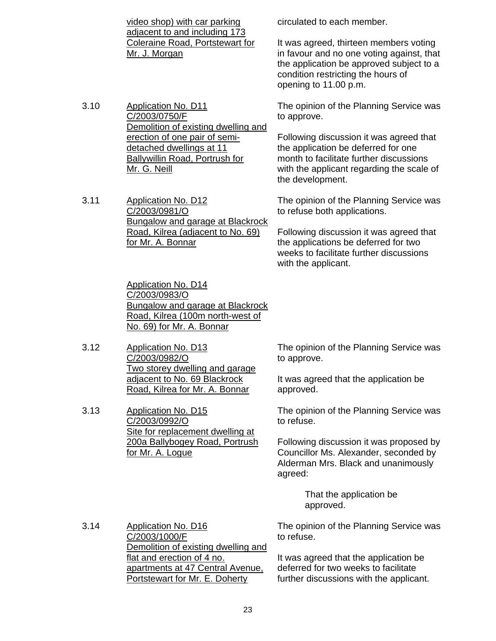video shop) with car parking adjacent to and including 173 Coleraine Road, Portstewart for Mr. J. Morgan

3.10 Application No. D11 C/2003/0750/F Demolition of existing dwelling and erection of one pair of semidetached dwellings at 11 Ballywillin Road, Portrush for Mr. G. Neill

3.11 Application No. D12 C/2003/0981/O Bungalow and garage at Blackrock Road, Kilrea (adjacent to No. 69) for Mr. A. Bonnar

> Application No. D14 C/2003/0983/O Bungalow and garage at Blackrock Road, Kilrea (100m north-west of No. 69) for Mr. A. Bonnar

3.12 Application No. D13 C/2003/0982/O Two storey dwelling and garage adjacent to No. 69 Blackrock Road, Kilrea for Mr. A. Bonnar

3.13 Application No. D15 C/2003/0992/O Site for replacement dwelling at 200a Ballybogey Road, Portrush for Mr. A. Logue

circulated to each member.

It was agreed, thirteen members voting in favour and no one voting against, that the application be approved subject to a condition restricting the hours of opening to 11.00 p.m.

The opinion of the Planning Service was to approve.

Following discussion it was agreed that the application be deferred for one month to facilitate further discussions with the applicant regarding the scale of the development.

The opinion of the Planning Service was to refuse both applications.

Following discussion it was agreed that the applications be deferred for two weeks to facilitate further discussions with the applicant.

The opinion of the Planning Service was to approve.

It was agreed that the application be approved.

The opinion of the Planning Service was to refuse.

Following discussion it was proposed by Councillor Ms. Alexander, seconded by Alderman Mrs. Black and unanimously agreed:

> That the application be approved.

3.14 Application No. D16 C/2003/1000/F Demolition of existing dwelling and flat and erection of 4 no. apartments at 47 Central Avenue, Portstewart for Mr. E. Doherty

The opinion of the Planning Service was to refuse.

It was agreed that the application be deferred for two weeks to facilitate further discussions with the applicant.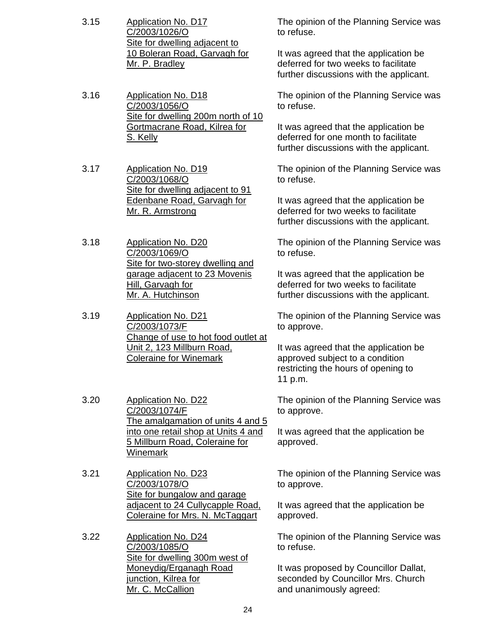- 3.15 Application No. D17 C/2003/1026/O Site for dwelling adjacent to 10 Boleran Road, Garvagh for Mr. P. Bradley
- 3.16 Application No. D18 C/2003/1056/O Site for dwelling 200m north of 10 Gortmacrane Road, Kilrea for S. Kelly

3.17 Application No. D19 C/2003/1068/O Site for dwelling adjacent to 91 Edenbane Road, Garvagh for Mr. R. Armstrong

3.18 Application No. D20 C/2003/1069/O Site for two-storey dwelling and garage adjacent to 23 Movenis Hill, Garvagh for Mr. A. Hutchinson

3.19 Application No. D21 C/2003/1073/F Change of use to hot food outlet at Unit 2, 123 Millburn Road, Coleraine for Winemark

- 3.20 Application No. D22 C/2003/1074/F The amalgamation of units 4 and 5 into one retail shop at Units 4 and 5 Millburn Road, Coleraine for Winemark
- 3.21 Application No. D23 C/2003/1078/O Site for bungalow and garage adjacent to 24 Cullycapple Road, Coleraine for Mrs. N. McTaggart

3.22 Application No. D24 C/2003/1085/O Site for dwelling 300m west of Moneydig/Erganagh Road junction, Kilrea for Mr. C. McCallion

The opinion of the Planning Service was to refuse.

It was agreed that the application be deferred for two weeks to facilitate further discussions with the applicant.

The opinion of the Planning Service was to refuse.

It was agreed that the application be deferred for one month to facilitate further discussions with the applicant.

The opinion of the Planning Service was to refuse.

It was agreed that the application be deferred for two weeks to facilitate further discussions with the applicant.

The opinion of the Planning Service was to refuse.

It was agreed that the application be deferred for two weeks to facilitate further discussions with the applicant.

The opinion of the Planning Service was to approve.

It was agreed that the application be approved subject to a condition restricting the hours of opening to 11 p.m.

The opinion of the Planning Service was to approve.

It was agreed that the application be approved.

The opinion of the Planning Service was to approve.

It was agreed that the application be approved.

The opinion of the Planning Service was to refuse.

It was proposed by Councillor Dallat, seconded by Councillor Mrs. Church and unanimously agreed: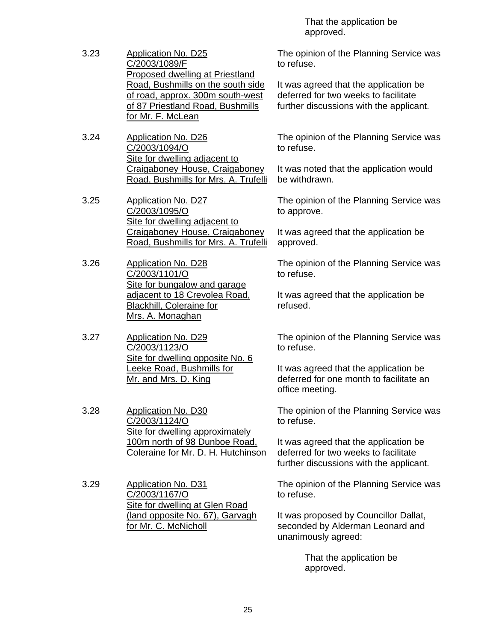That the application be approved.

- 3.23 Application No. D25 C/2003/1089/F Proposed dwelling at Priestland Road, Bushmills on the south side of road, approx. 300m south-west of 87 Priestland Road, Bushmills for Mr. F. McLean
- 3.24 Application No. D26 C/2003/1094/O Site for dwelling adjacent to Craigaboney House, Craigaboney Road, Bushmills for Mrs. A. Trufelli
- 3.25 Application No. D27 C/2003/1095/O Site for dwelling adjacent to Craigaboney House, Craigaboney Road, Bushmills for Mrs. A. Trufelli
- 3.26 Application No. D28 C/2003/1101/O Site for bungalow and garage adjacent to 18 Crevolea Road, Blackhill, Coleraine for Mrs. A. Monaghan
- 3.27 Application No. D29 C/2003/1123/O Site for dwelling opposite No. 6 Leeke Road, Bushmills for Mr. and Mrs. D. King
- 3.28 Application No. D30 C/2003/1124/O Site for dwelling approximately 100m north of 98 Dunboe Road, Coleraine for Mr. D. H. Hutchinson
- 3.29 Application No. D31 C/2003/1167/O Site for dwelling at Glen Road (land opposite No. 67), Garvagh for Mr. C. McNicholl

The opinion of the Planning Service was to refuse.

It was agreed that the application be deferred for two weeks to facilitate further discussions with the applicant.

The opinion of the Planning Service was to refuse.

It was noted that the application would be withdrawn.

The opinion of the Planning Service was to approve.

It was agreed that the application be approved.

The opinion of the Planning Service was to refuse.

It was agreed that the application be refused.

The opinion of the Planning Service was to refuse.

It was agreed that the application be deferred for one month to facilitate an office meeting.

The opinion of the Planning Service was to refuse.

It was agreed that the application be deferred for two weeks to facilitate further discussions with the applicant.

The opinion of the Planning Service was to refuse.

It was proposed by Councillor Dallat, seconded by Alderman Leonard and unanimously agreed:

> That the application be approved.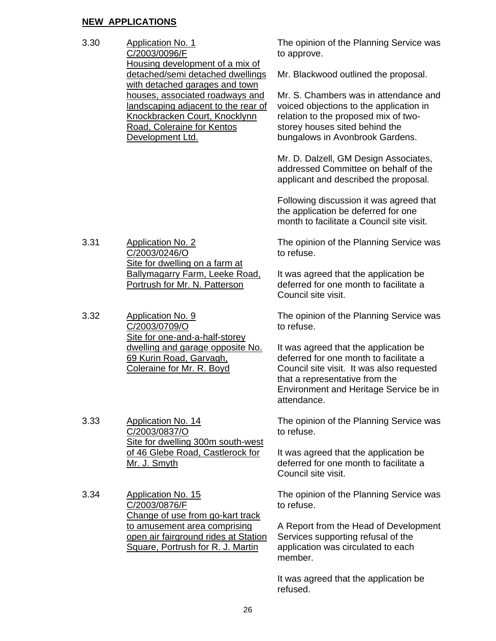# **NEW APPLICATIONS**

3.30 Application No. 1 C/2003/0096/F Housing development of a mix of detached/semi detached dwellings with detached garages and town houses, associated roadways and landscaping adjacent to the rear of Knockbracken Court, Knocklynn Road, Coleraine for Kentos Development Ltd.

3.31 Application No. 2 C/2003/0246/O Site for dwelling on a farm at Ballymagarry Farm, Leeke Road, Portrush for Mr. N. Patterson

3.32 Application No. 9 C/2003/0709/O Site for one-and-a-half-storey dwelling and garage opposite No. 69 Kurin Road, Garvagh, Coleraine for Mr. R. Boyd

3.33 Application No. 14 C/2003/0837/O Site for dwelling 300m south-west of 46 Glebe Road, Castlerock for Mr. J. Smyth

3.34 Application No. 15 C/2003/0876/F Change of use from go-kart track to amusement area comprising open air fairground rides at Station Square, Portrush for R. J. Martin

The opinion of the Planning Service was to approve.

Mr. Blackwood outlined the proposal.

Mr. S. Chambers was in attendance and voiced objections to the application in relation to the proposed mix of twostorey houses sited behind the bungalows in Avonbrook Gardens.

Mr. D. Dalzell, GM Design Associates, addressed Committee on behalf of the applicant and described the proposal.

Following discussion it was agreed that the application be deferred for one month to facilitate a Council site visit.

The opinion of the Planning Service was to refuse.

It was agreed that the application be deferred for one month to facilitate a Council site visit.

The opinion of the Planning Service was to refuse.

It was agreed that the application be deferred for one month to facilitate a Council site visit. It was also requested that a representative from the Environment and Heritage Service be in attendance.

The opinion of the Planning Service was to refuse.

It was agreed that the application be deferred for one month to facilitate a Council site visit.

The opinion of the Planning Service was to refuse.

A Report from the Head of Development Services supporting refusal of the application was circulated to each member.

It was agreed that the application be refused.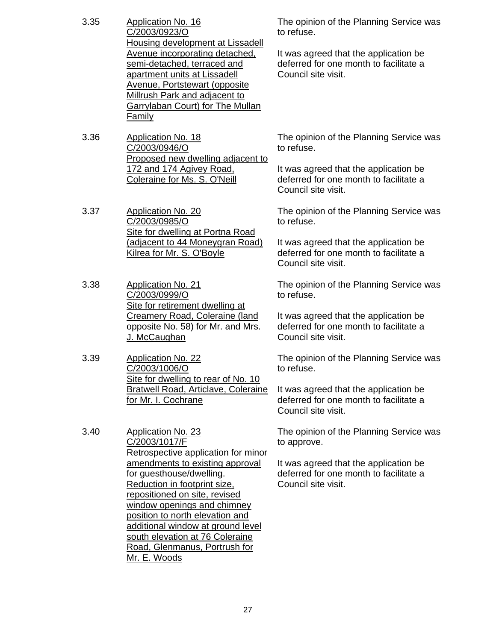| 3.35 | Application No. 16               |
|------|----------------------------------|
|      | C/2003/0923/O                    |
|      | Housing development at Lissadell |
|      | Avenue incorporating detached,   |
|      | semi-detached, terraced and      |
|      | apartment units at Lissadell     |
|      | Avenue, Portstewart (opposite    |
|      | Millrush Park and adjacent to    |
|      | Garrylaban Court) for The Mullan |
|      | Family                           |

3.36 Application No. 18 C/2003/0946/O Proposed new dwelling adjacent to 172 and 174 Agivey Road, Coleraine for Ms. S. O'Neill

3.37 Application No. 20 C/2003/0985/O Site for dwelling at Portna Road (adjacent to 44 Moneygran Road) Kilrea for Mr. S. O'Boyle

- 3.38 Application No. 21 C/2003/0999/O Site for retirement dwelling at Creamery Road, Coleraine (land opposite No. 58) for Mr. and Mrs. J. McCaughan
- 3.39 Application No. 22 C/2003/1006/O Site for dwelling to rear of No. 10 Bratwell Road, Articlave, Coleraine for Mr. I. Cochrane

3.40 Application No. 23 C/2003/1017/F Retrospective application for minor amendments to existing approval for guesthouse/dwelling. Reduction in footprint size, repositioned on site, revised window openings and chimney position to north elevation and additional window at ground level south elevation at 76 Coleraine Road, Glenmanus, Portrush for Mr. E. Woods

The opinion of the Planning Service was to refuse.

It was agreed that the application be deferred for one month to facilitate a Council site visit.

The opinion of the Planning Service was to refuse.

It was agreed that the application be deferred for one month to facilitate a Council site visit.

The opinion of the Planning Service was to refuse.

It was agreed that the application be deferred for one month to facilitate a Council site visit.

The opinion of the Planning Service was to refuse.

It was agreed that the application be deferred for one month to facilitate a Council site visit.

The opinion of the Planning Service was to refuse.

It was agreed that the application be deferred for one month to facilitate a Council site visit.

The opinion of the Planning Service was to approve.

It was agreed that the application be deferred for one month to facilitate a Council site visit.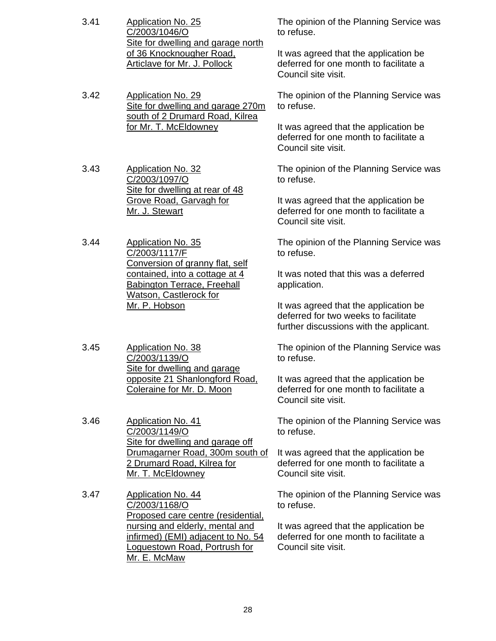- 3.41 Application No. 25 C/2003/1046/O Site for dwelling and garage north of 36 Knocknougher Road, Articlave for Mr. J. Pollock
- 3.42 Application No. 29 Site for dwelling and garage 270m south of 2 Drumard Road, Kilrea for Mr. T. McEldowney
- 3.43 Application No. 32 C/2003/1097/O Site for dwelling at rear of 48 Grove Road, Garvagh for Mr. J. Stewart
- 3.44 Application No. 35 C/2003/1117/F Conversion of granny flat, self contained, into a cottage at 4 Babington Terrace, Freehall Watson, Castlerock for Mr. P. Hobson
- 3.45 Application No. 38 C/2003/1139/O Site for dwelling and garage opposite 21 Shanlongford Road, Coleraine for Mr. D. Moon
- 3.46 Application No. 41 C/2003/1149/O Site for dwelling and garage off Drumagarner Road, 300m south of 2 Drumard Road, Kilrea for Mr. T. McEldowney
- 3.47 Application No. 44 C/2003/1168/O Proposed care centre (residential, nursing and elderly, mental and infirmed) (EMI) adjacent to No. 54 Loguestown Road, Portrush for Mr. E. McMaw

The opinion of the Planning Service was to refuse.

It was agreed that the application be deferred for one month to facilitate a Council site visit.

The opinion of the Planning Service was to refuse.

It was agreed that the application be deferred for one month to facilitate a Council site visit.

The opinion of the Planning Service was to refuse.

It was agreed that the application be deferred for one month to facilitate a Council site visit.

The opinion of the Planning Service was to refuse.

It was noted that this was a deferred application.

It was agreed that the application be deferred for two weeks to facilitate further discussions with the applicant.

The opinion of the Planning Service was to refuse.

It was agreed that the application be deferred for one month to facilitate a Council site visit.

The opinion of the Planning Service was to refuse.

It was agreed that the application be deferred for one month to facilitate a Council site visit.

The opinion of the Planning Service was to refuse.

It was agreed that the application be deferred for one month to facilitate a Council site visit.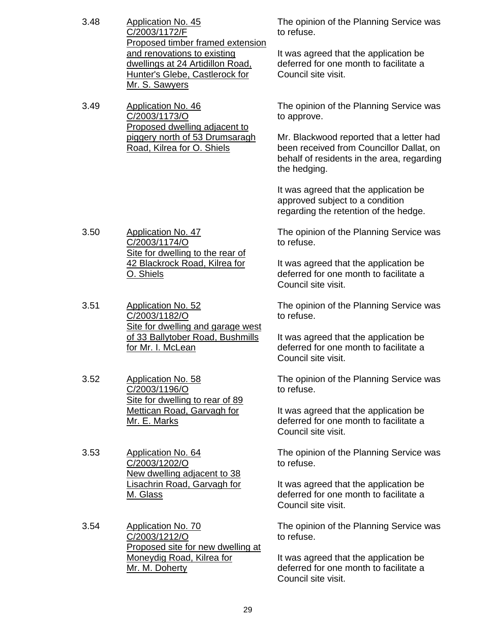| and renovations to existing<br>It was agreed that the application be<br>deferred for one month to facilitate a<br>dwellings at 24 Artidillon Road,<br>Council site visit.<br>Hunter's Glebe, Castlerock for<br>Mr. S. Sawyers<br>3.49<br><b>Application No. 46</b><br>The opinion of the Planning Service was<br>C/2003/1173/O<br>to approve.<br>Proposed dwelling adjacent to<br>piggery north of 53 Drumsaragh<br>Mr. Blackwood reported that a letter had<br>Road, Kilrea for O. Shiels<br>been received from Councillor Dallat, on<br>behalf of residents in the area, regarding |  |
|--------------------------------------------------------------------------------------------------------------------------------------------------------------------------------------------------------------------------------------------------------------------------------------------------------------------------------------------------------------------------------------------------------------------------------------------------------------------------------------------------------------------------------------------------------------------------------------|--|
|                                                                                                                                                                                                                                                                                                                                                                                                                                                                                                                                                                                      |  |
|                                                                                                                                                                                                                                                                                                                                                                                                                                                                                                                                                                                      |  |
| the hedging.                                                                                                                                                                                                                                                                                                                                                                                                                                                                                                                                                                         |  |
| It was agreed that the application be<br>approved subject to a condition<br>regarding the retention of the hedge.                                                                                                                                                                                                                                                                                                                                                                                                                                                                    |  |
| 3.50<br><b>Application No. 47</b><br>The opinion of the Planning Service was<br>C/2003/1174/O<br>to refuse.<br>Site for dwelling to the rear of                                                                                                                                                                                                                                                                                                                                                                                                                                      |  |
| 42 Blackrock Road, Kilrea for<br>It was agreed that the application be<br>O. Shiels<br>deferred for one month to facilitate a<br>Council site visit.                                                                                                                                                                                                                                                                                                                                                                                                                                 |  |
| 3.51<br><b>Application No. 52</b><br>The opinion of the Planning Service was<br>C/2003/1182/O<br>to refuse.<br>Site for dwelling and garage west                                                                                                                                                                                                                                                                                                                                                                                                                                     |  |
| of 33 Ballytober Road, Bushmills<br>It was agreed that the application be<br>deferred for one month to facilitate a<br>for Mr. I. McLean<br>Council site visit.                                                                                                                                                                                                                                                                                                                                                                                                                      |  |
| 3.52<br><b>Application No. 58</b><br>The opinion of the Planning Service was<br>C/2003/1196/O<br>to refuse.<br>Site for dwelling to rear of 89                                                                                                                                                                                                                                                                                                                                                                                                                                       |  |
| <b>Mettican Road, Garvagh for</b><br>It was agreed that the application be<br>deferred for one month to facilitate a<br>Mr. E. Marks<br>Council site visit.                                                                                                                                                                                                                                                                                                                                                                                                                          |  |
| 3.53<br>Application No. 64<br>The opinion of the Planning Service was<br>C/2003/1202/O<br>to refuse.<br>New dwelling adjacent to 38                                                                                                                                                                                                                                                                                                                                                                                                                                                  |  |
| Lisachrin Road, Garvagh for<br>It was agreed that the application be<br>deferred for one month to facilitate a<br><u>M. Glass</u><br>Council site visit.                                                                                                                                                                                                                                                                                                                                                                                                                             |  |
| 3.54<br><b>Application No. 70</b><br>The opinion of the Planning Service was<br>C/2003/1212/O<br>to refuse.<br>Proposed site for new dwelling at                                                                                                                                                                                                                                                                                                                                                                                                                                     |  |
| Moneydig Road, Kilrea for<br>It was agreed that the application be<br>deferred for one month to facilitate a<br>Mr. M. Doherty<br>Council site visit.                                                                                                                                                                                                                                                                                                                                                                                                                                |  |

29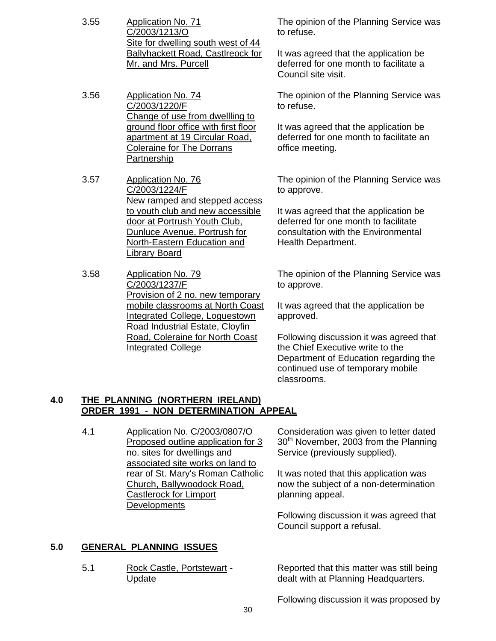- 3.55 Application No. 71 C/2003/1213/O Site for dwelling south west of 44 Ballyhackett Road, Castlreock for Mr. and Mrs. Purcell
- 3.56 Application No. 74 C/2003/1220/F Change of use from dwellling to ground floor office with first floor apartment at 19 Circular Road, Coleraine for The Dorrans **Partnership**
- 3.57 Application No. 76 C/2003/1224/F New ramped and stepped access to youth club and new accessible door at Portrush Youth Club, Dunluce Avenue, Portrush for North-Eastern Education and Library Board
- 3.58 Application No. 79 C/2003/1237/F Provision of 2 no. new temporary mobile classrooms at North Coast Integrated College, Loguestown Road Industrial Estate, Cloyfin Road, Coleraine for North Coast Integrated College

The opinion of the Planning Service was to refuse.

It was agreed that the application be deferred for one month to facilitate a Council site visit.

The opinion of the Planning Service was to refuse.

It was agreed that the application be deferred for one month to facilitate an office meeting.

The opinion of the Planning Service was to approve.

It was agreed that the application be deferred for one month to facilitate consultation with the Environmental Health Department.

The opinion of the Planning Service was to approve.

It was agreed that the application be approved.

Following discussion it was agreed that the Chief Executive write to the Department of Education regarding the continued use of temporary mobile classrooms.

# **4.0 THE PLANNING (NORTHERN IRELAND) ORDER 1991 - NON DETERMINATION APPEAL**

4.1 Application No. C/2003/0807/O Proposed outline application for 3 no. sites for dwellings and associated site works on land to rear of St. Mary's Roman Catholic Church, Ballywoodock Road, Castlerock for Limport **Developments** 

Consideration was given to letter dated  $30<sup>th</sup>$  November, 2003 from the Planning Service (previously supplied).

It was noted that this application was now the subject of a non-determination planning appeal.

Following discussion it was agreed that Council support a refusal.

# **5.0 GENERAL PLANNING ISSUES**

5.1 Rock Castle, Portstewart - Update

Reported that this matter was still being dealt with at Planning Headquarters.

Following discussion it was proposed by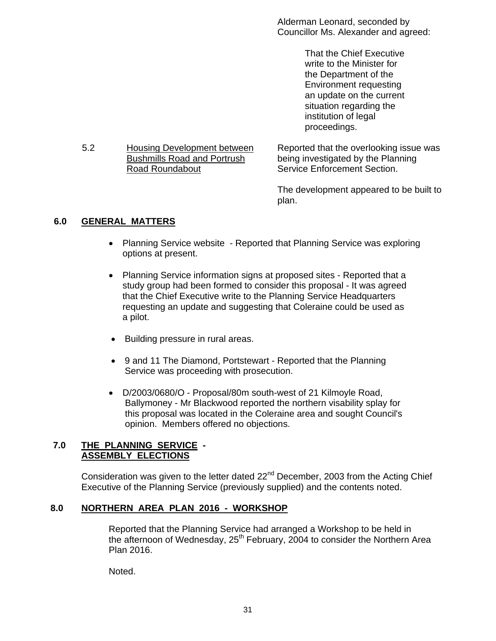Alderman Leonard, seconded by Councillor Ms. Alexander and agreed:

> That the Chief Executive write to the Minister for the Department of the Environment requesting an update on the current situation regarding the institution of legal proceedings.

5.2 Housing Development between **Bushmills Road and Portrush** Road Roundabout

Reported that the overlooking issue was being investigated by the Planning Service Enforcement Section.

The development appeared to be built to plan.

# **6.0 GENERAL MATTERS**

- Planning Service website Reported that Planning Service was exploring options at present.
- Planning Service information signs at proposed sites Reported that a study group had been formed to consider this proposal - It was agreed that the Chief Executive write to the Planning Service Headquarters requesting an update and suggesting that Coleraine could be used as a pilot.
- Building pressure in rural areas.
- 9 and 11 The Diamond, Portstewart Reported that the Planning Service was proceeding with prosecution.
- D/2003/0680/O Proposal/80m south-west of 21 Kilmoyle Road, Ballymoney - Mr Blackwood reported the northern visability splay for this proposal was located in the Coleraine area and sought Council's opinion. Members offered no objections.

# **7.0 THE PLANNING SERVICE - ASSEMBLY ELECTIONS**

Consideration was given to the letter dated  $22<sup>nd</sup>$  December, 2003 from the Acting Chief Executive of the Planning Service (previously supplied) and the contents noted.

# **8.0 NORTHERN AREA PLAN 2016 - WORKSHOP**

 Reported that the Planning Service had arranged a Workshop to be held in the afternoon of Wednesday,  $25<sup>th</sup>$  February, 2004 to consider the Northern Area Plan 2016.

Noted.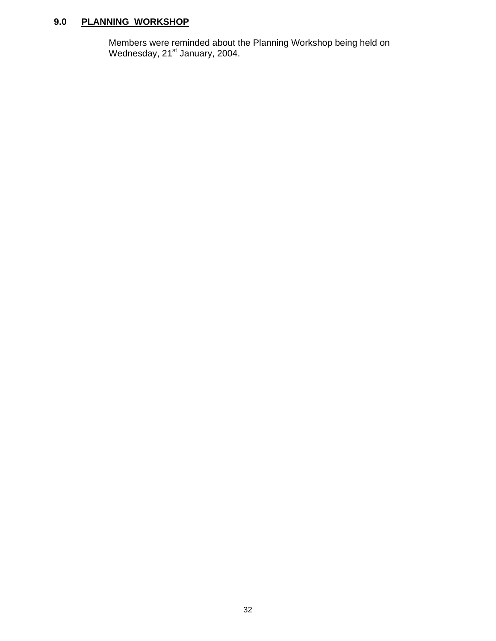# **9.0 PLANNING WORKSHOP**

 Members were reminded about the Planning Workshop being held on Wednesday, 21<sup>st</sup> January, 2004.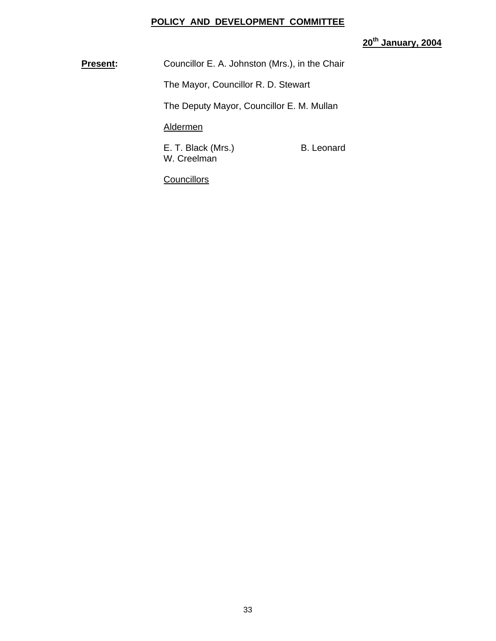# **POLICY AND DEVELOPMENT COMMITTEE**

# **20th January, 2004**

**Present:** Councillor E. A. Johnston (Mrs.), in the Chair

The Mayor, Councillor R. D. Stewart

The Deputy Mayor, Councillor E. M. Mullan

# Aldermen

E. T. Black (Mrs.) B. Leonard W. Creelman

**Councillors**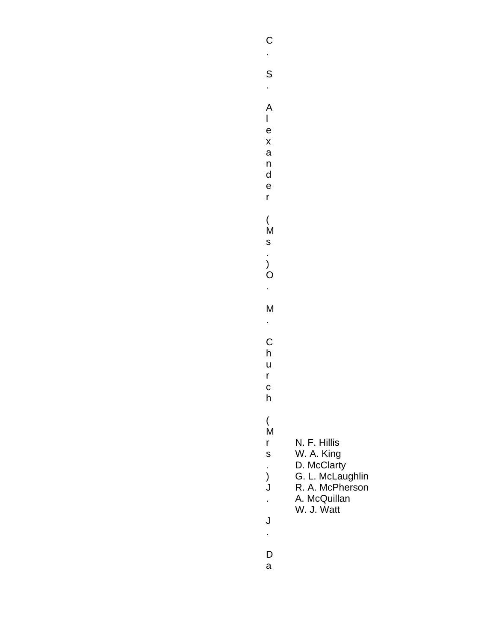S

- . A
	-

l

- e x
- a n
- d e

r

(

.

- 
- 
- M s
	-
- ) O
- .
- M .
- C
- h
- u r
- c
- h
- ( M
	-
- r N. F. Hillis
- s . W. A. King D. McClarty
- ) G. L. McLaughlin
- J R. A. McPherson
- . A. McQuillan
	- W. J. Watt
- J .
- D
- a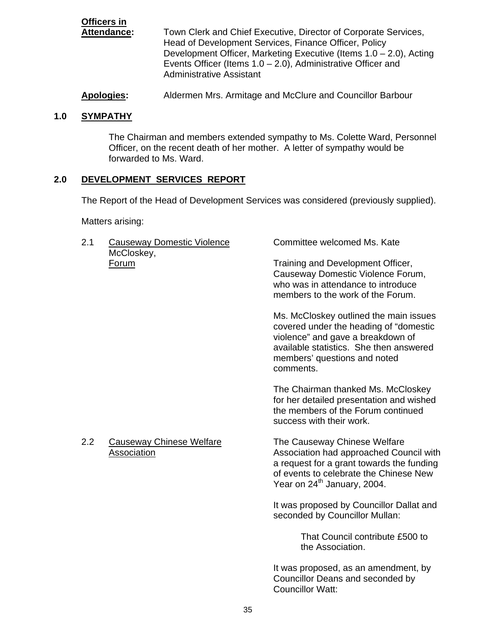| <b>Officers in</b> |                                                                       |
|--------------------|-----------------------------------------------------------------------|
| Attendance:        | Town Clerk and Chief Executive, Director of Corporate Services,       |
|                    | Head of Development Services, Finance Officer, Policy                 |
|                    | Development Officer, Marketing Executive (Items $1.0 - 2.0$ ), Acting |
|                    | Events Officer (Items $1.0 - 2.0$ ), Administrative Officer and       |
|                    | <b>Administrative Assistant</b>                                       |

**Apologies:** Aldermen Mrs. Armitage and McClure and Councillor Barbour

# **1.0 SYMPATHY**

The Chairman and members extended sympathy to Ms. Colette Ward, Personnel Officer, on the recent death of her mother. A letter of sympathy would be forwarded to Ms. Ward.

# **2.0 DEVELOPMENT SERVICES REPORT**

The Report of the Head of Development Services was considered (previously supplied).

Matters arising:

| 2.1 | <b>Causeway Domestic Violence</b><br>McCloskey, | Committee welcomed Ms. Kate                                                                                                                                                                                   |  |  |
|-----|-------------------------------------------------|---------------------------------------------------------------------------------------------------------------------------------------------------------------------------------------------------------------|--|--|
|     | Forum                                           | Training and Development Officer,<br>Causeway Domestic Violence Forum,<br>who was in attendance to introduce<br>members to the work of the Forum.                                                             |  |  |
|     |                                                 | Ms. McCloskey outlined the main issues<br>covered under the heading of "domestic<br>violence" and gave a breakdown of<br>available statistics. She then answered<br>members' questions and noted<br>comments. |  |  |
|     |                                                 | The Chairman thanked Ms. McCloskey<br>for her detailed presentation and wished<br>the members of the Forum continued<br>success with their work.                                                              |  |  |
| 2.2 | <b>Causeway Chinese Welfare</b><br>Association  | The Causeway Chinese Welfare<br>Association had approached Council with<br>a request for a grant towards the funding<br>of events to celebrate the Chinese New<br>Year on 24 <sup>th</sup> January, 2004.     |  |  |
|     |                                                 | It was proposed by Councillor Dallat and<br>seconded by Councillor Mullan:                                                                                                                                    |  |  |
|     |                                                 | That Council contribute £500 to<br>the Association.                                                                                                                                                           |  |  |
|     |                                                 | It was proposed, as an amendment, by<br>Councillor Deans and seconded by<br><b>Councillor Watt:</b>                                                                                                           |  |  |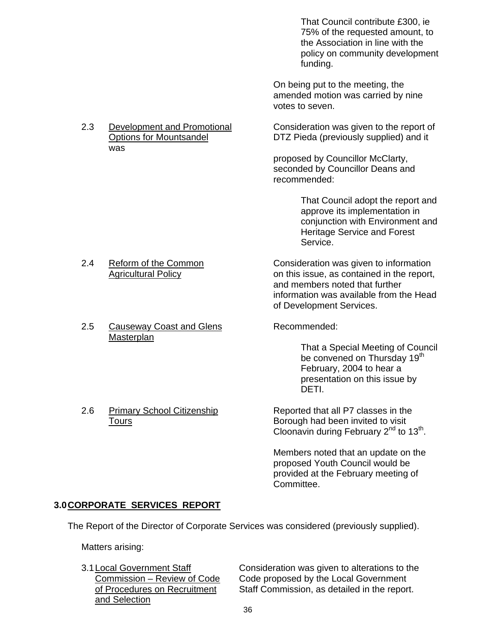That Council contribute £300, ie 75% of the requested amount, to the Association in line with the policy on community development funding.

 On being put to the meeting, the amended motion was carried by nine votes to seven.

2.3 Development and Promotional Consideration was given to the report of Options for Mountsandel DTZ Pieda (previously supplied) and it

> proposed by Councillor McClarty, seconded by Councillor Deans and recommended:

> > That Council adopt the report and approve its implementation in conjunction with Environment and Heritage Service and Forest Service.

2.4 Reform of the Common Consideration was given to information Agricultural Policy **Contained in the report,** on this issue, as contained in the report, and members noted that further information was available from the Head of Development Services.

 That a Special Meeting of Council be convened on Thursday 19<sup>th</sup> February, 2004 to hear a presentation on this issue by DETI.

2.6 Primary School Citizenship Reported that all P7 classes in the Tours **Borough had been invited to visit** Borough had been invited to visit Cloonavin during February  $2^{nd}$  to  $13^{th}$ .

> Members noted that an update on the proposed Youth Council would be provided at the February meeting of Committee.

# **3.0 CORPORATE SERVICES REPORT**

The Report of the Director of Corporate Services was considered (previously supplied).

Matters arising:

and Selection

3.1 Local Government Staff Consideration was given to alterations to the Commission – Review of Code Code proposed by the Local Government of Procedures on Recruitment Staff Commission, as detailed in the report.

- 
- 
- 2.5 Causeway Coast and Glens Recommended: **Masterplan**

# was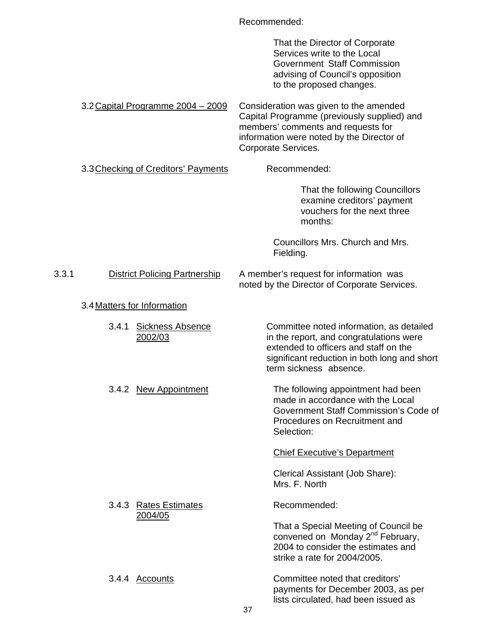|       |       |                                      | Recommended: |                                                                                                                                                                                                        |
|-------|-------|--------------------------------------|--------------|--------------------------------------------------------------------------------------------------------------------------------------------------------------------------------------------------------|
|       |       |                                      |              | That the Director of Corporate<br>Services write to the Local<br>Government Staff Commission<br>advising of Council's opposition<br>to the proposed changes.                                           |
|       |       | 3.2 Capital Programme 2004 - 2009    |              | Consideration was given to the amended<br>Capital Programme (previously supplied) and<br>members' comments and requests for<br>information were noted by the Director of<br>Corporate Services.        |
|       |       | 3.3 Checking of Creditors' Payments  |              | Recommended:                                                                                                                                                                                           |
|       |       |                                      |              | That the following Councillors<br>examine creditors' payment<br>vouchers for the next three<br>months:                                                                                                 |
|       |       |                                      |              | Councillors Mrs. Church and Mrs.<br>Fielding.                                                                                                                                                          |
| 3.3.1 |       | <b>District Policing Partnership</b> |              | A member's request for information was<br>noted by the Director of Corporate Services.                                                                                                                 |
|       |       | 3.4 Matters for Information          |              |                                                                                                                                                                                                        |
|       | 3.4.1 | <b>Sickness Absence</b><br>2002/03   |              | Committee noted information, as detailed<br>in the report, and congratulations were<br>extended to officers and staff on the<br>significant reduction in both long and short<br>term sickness absence. |
|       |       | 3.4.2 New Appointment                |              | The following appointment had been<br>made in accordance with the Local<br>Government Staff Commission's Code of<br>Procedures on Recruitment and<br>Selection:                                        |
|       |       |                                      |              | <b>Chief Executive's Department</b>                                                                                                                                                                    |
|       |       |                                      |              | Clerical Assistant (Job Share):<br>Mrs. F. North                                                                                                                                                       |
|       |       | 3.4.3 Rates Estimates<br>2004/05     |              | Recommended:                                                                                                                                                                                           |
|       |       |                                      |              | That a Special Meeting of Council be<br>convened on Monday 2 <sup>nd</sup> February,<br>2004 to consider the estimates and<br>strike a rate for 2004/2005.                                             |
|       |       | 3.4.4 Accounts                       |              | Committee noted that creditors'<br>payments for December 2003, as per<br>lists circulated, had been issued as                                                                                          |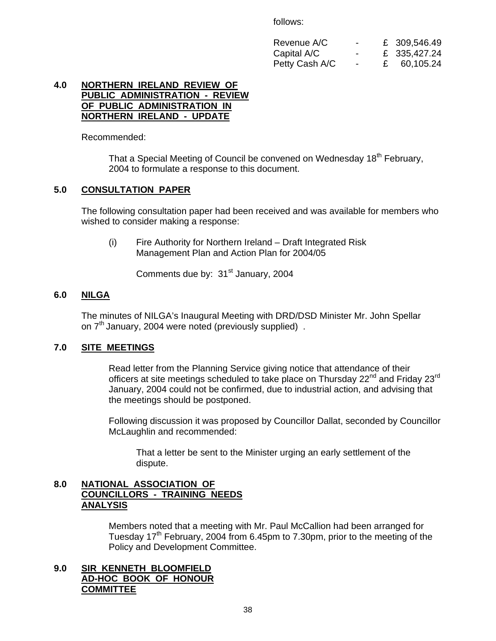follows:

| Revenue A/C    | <b>Contract Contract Contract</b> | £ 309,546.49         |
|----------------|-----------------------------------|----------------------|
| Capital A/C    | <b>Contract Contract Contract</b> | £ 335,427.24         |
| Petty Cash A/C |                                   | $\epsilon$ 60,105.24 |

#### **4.0 NORTHERN IRELAND REVIEW OF PUBLIC ADMINISTRATION - REVIEW OF PUBLIC ADMINISTRATION IN NORTHERN IRELAND - UPDATE**

Recommended:

That a Special Meeting of Council be convened on Wednesday 18<sup>th</sup> February, 2004 to formulate a response to this document.

# **5.0 CONSULTATION PAPER**

 The following consultation paper had been received and was available for members who wished to consider making a response:

(i) Fire Authority for Northern Ireland – Draft Integrated Risk Management Plan and Action Plan for 2004/05

Comments due by: 31<sup>st</sup> January, 2004

# **6.0 NILGA**

The minutes of NILGA's Inaugural Meeting with DRD/DSD Minister Mr. John Spellar on 7<sup>th</sup> January, 2004 were noted (previously supplied).

# **7.0 SITE MEETINGS**

Read letter from the Planning Service giving notice that attendance of their officers at site meetings scheduled to take place on Thursday 22<sup>nd</sup> and Friday 23<sup>rd</sup> January, 2004 could not be confirmed, due to industrial action, and advising that the meetings should be postponed.

Following discussion it was proposed by Councillor Dallat, seconded by Councillor McLaughlin and recommended:

 That a letter be sent to the Minister urging an early settlement of the dispute.

# **8.0 NATIONAL ASSOCIATION OF COUNCILLORS - TRAINING NEEDS ANALYSIS**

Members noted that a meeting with Mr. Paul McCallion had been arranged for Tuesday 17<sup>th</sup> February, 2004 from 6.45pm to 7.30pm, prior to the meeting of the Policy and Development Committee.

# **9.0 SIR KENNETH BLOOMFIELD AD-HOC BOOK OF HONOUR COMMITTEE**